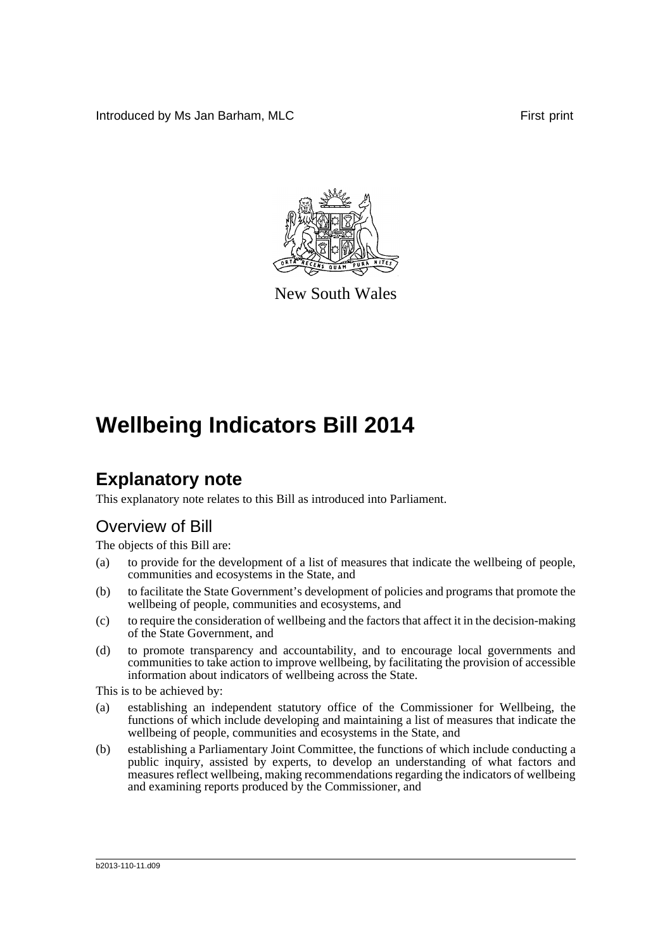Introduced by Ms Jan Barham, MLC First print



New South Wales

# **Wellbeing Indicators Bill 2014**

## **Explanatory note**

This explanatory note relates to this Bill as introduced into Parliament.

## Overview of Bill

The objects of this Bill are:

- (a) to provide for the development of a list of measures that indicate the wellbeing of people, communities and ecosystems in the State, and
- (b) to facilitate the State Government's development of policies and programs that promote the wellbeing of people, communities and ecosystems, and
- (c) to require the consideration of wellbeing and the factors that affect it in the decision-making of the State Government, and
- (d) to promote transparency and accountability, and to encourage local governments and communities to take action to improve wellbeing, by facilitating the provision of accessible information about indicators of wellbeing across the State.

This is to be achieved by:

- (a) establishing an independent statutory office of the Commissioner for Wellbeing, the functions of which include developing and maintaining a list of measures that indicate the wellbeing of people, communities and ecosystems in the State, and
- (b) establishing a Parliamentary Joint Committee, the functions of which include conducting a public inquiry, assisted by experts, to develop an understanding of what factors and measures reflect wellbeing, making recommendations regarding the indicators of wellbeing and examining reports produced by the Commissioner, and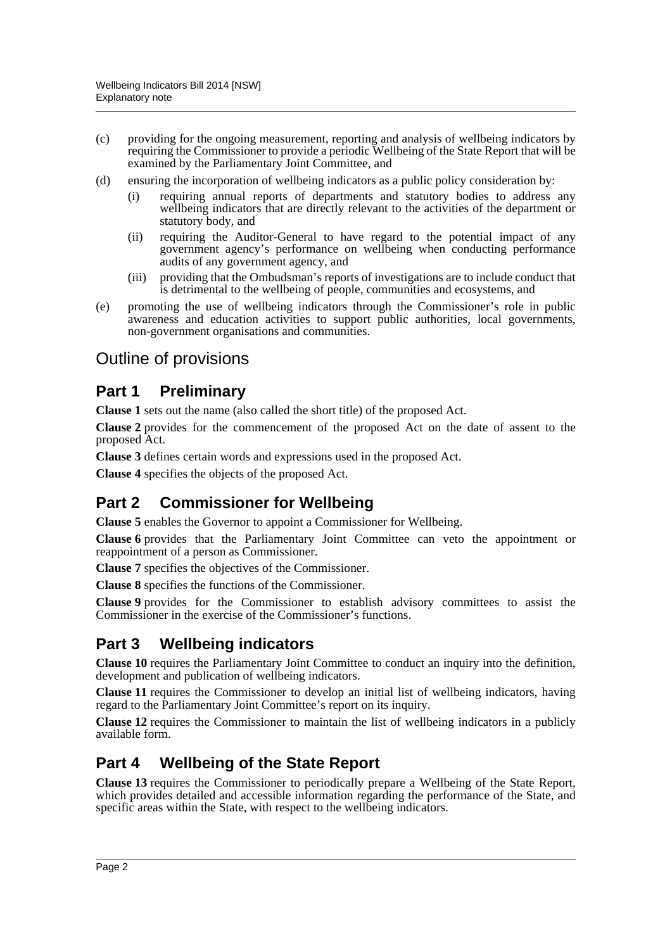- (c) providing for the ongoing measurement, reporting and analysis of wellbeing indicators by requiring the Commissioner to provide a periodic Wellbeing of the State Report that will be examined by the Parliamentary Joint Committee, and
- (d) ensuring the incorporation of wellbeing indicators as a public policy consideration by:
	- (i) requiring annual reports of departments and statutory bodies to address any wellbeing indicators that are directly relevant to the activities of the department or statutory body, and
	- (ii) requiring the Auditor-General to have regard to the potential impact of any government agency's performance on wellbeing when conducting performance audits of any government agency, and
	- (iii) providing that the Ombudsman's reports of investigations are to include conduct that is detrimental to the wellbeing of people, communities and ecosystems, and
- (e) promoting the use of wellbeing indicators through the Commissioner's role in public awareness and education activities to support public authorities, local governments, non-government organisations and communities.

## Outline of provisions

## **Part 1 Preliminary**

**Clause 1** sets out the name (also called the short title) of the proposed Act.

**Clause 2** provides for the commencement of the proposed Act on the date of assent to the proposed Act.

**Clause 3** defines certain words and expressions used in the proposed Act.

**Clause 4** specifies the objects of the proposed Act.

## **Part 2 Commissioner for Wellbeing**

**Clause 5** enables the Governor to appoint a Commissioner for Wellbeing.

**Clause 6** provides that the Parliamentary Joint Committee can veto the appointment or reappointment of a person as Commissioner.

**Clause 7** specifies the objectives of the Commissioner.

**Clause 8** specifies the functions of the Commissioner.

**Clause 9** provides for the Commissioner to establish advisory committees to assist the Commissioner in the exercise of the Commissioner's functions.

## **Part 3 Wellbeing indicators**

**Clause 10** requires the Parliamentary Joint Committee to conduct an inquiry into the definition, development and publication of wellbeing indicators.

**Clause 11** requires the Commissioner to develop an initial list of wellbeing indicators, having regard to the Parliamentary Joint Committee's report on its inquiry.

**Clause 12** requires the Commissioner to maintain the list of wellbeing indicators in a publicly available form.

## **Part 4 Wellbeing of the State Report**

**Clause 13** requires the Commissioner to periodically prepare a Wellbeing of the State Report, which provides detailed and accessible information regarding the performance of the State, and specific areas within the State, with respect to the wellbeing indicators.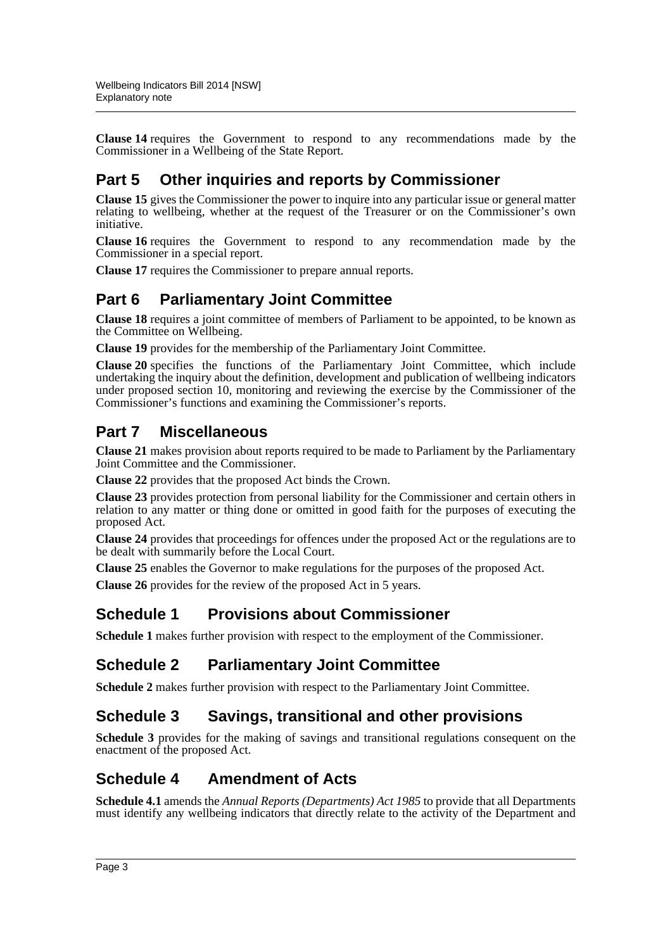**Clause 14** requires the Government to respond to any recommendations made by the Commissioner in a Wellbeing of the State Report.

## **Part 5 Other inquiries and reports by Commissioner**

**Clause 15** gives the Commissioner the power to inquire into any particular issue or general matter relating to wellbeing, whether at the request of the Treasurer or on the Commissioner's own initiative.

**Clause 16** requires the Government to respond to any recommendation made by the Commissioner in a special report.

**Clause 17** requires the Commissioner to prepare annual reports.

## **Part 6 Parliamentary Joint Committee**

**Clause 18** requires a joint committee of members of Parliament to be appointed, to be known as the Committee on Wellbeing.

**Clause 19** provides for the membership of the Parliamentary Joint Committee.

**Clause 20** specifies the functions of the Parliamentary Joint Committee, which include undertaking the inquiry about the definition, development and publication of wellbeing indicators under proposed section 10, monitoring and reviewing the exercise by the Commissioner of the Commissioner's functions and examining the Commissioner's reports.

## **Part 7 Miscellaneous**

**Clause 21** makes provision about reports required to be made to Parliament by the Parliamentary Joint Committee and the Commissioner.

**Clause 22** provides that the proposed Act binds the Crown.

**Clause 23** provides protection from personal liability for the Commissioner and certain others in relation to any matter or thing done or omitted in good faith for the purposes of executing the proposed Act.

**Clause 24** provides that proceedings for offences under the proposed Act or the regulations are to be dealt with summarily before the Local Court.

**Clause 25** enables the Governor to make regulations for the purposes of the proposed Act.

**Clause 26** provides for the review of the proposed Act in 5 years.

### **Schedule 1 Provisions about Commissioner**

**Schedule 1** makes further provision with respect to the employment of the Commissioner.

## **Schedule 2 Parliamentary Joint Committee**

**Schedule 2** makes further provision with respect to the Parliamentary Joint Committee.

### **Schedule 3 Savings, transitional and other provisions**

**Schedule 3** provides for the making of savings and transitional regulations consequent on the enactment of the proposed Act.

## **Schedule 4 Amendment of Acts**

**Schedule 4.1** amends the *Annual Reports (Departments) Act 1985* to provide that all Departments must identify any wellbeing indicators that directly relate to the activity of the Department and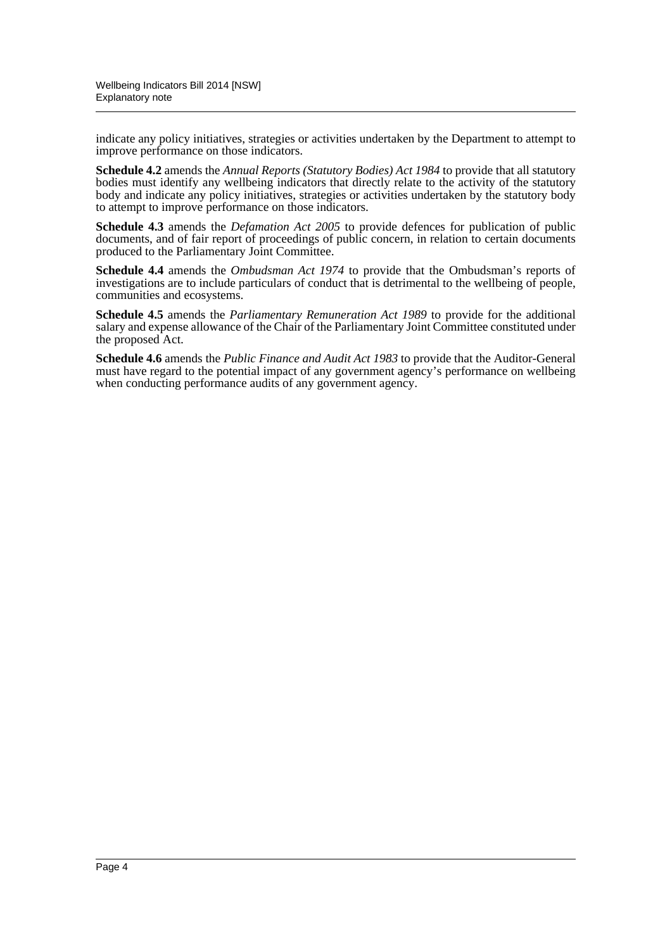indicate any policy initiatives, strategies or activities undertaken by the Department to attempt to improve performance on those indicators.

**Schedule 4.2** amends the *Annual Reports (Statutory Bodies) Act 1984* to provide that all statutory bodies must identify any wellbeing indicators that directly relate to the activity of the statutory body and indicate any policy initiatives, strategies or activities undertaken by the statutory body to attempt to improve performance on those indicators.

**Schedule 4.3** amends the *Defamation Act 2005* to provide defences for publication of public documents, and of fair report of proceedings of public concern, in relation to certain documents produced to the Parliamentary Joint Committee.

**Schedule 4.4** amends the *Ombudsman Act 1974* to provide that the Ombudsman's reports of investigations are to include particulars of conduct that is detrimental to the wellbeing of people, communities and ecosystems.

**Schedule 4.5** amends the *Parliamentary Remuneration Act 1989* to provide for the additional salary and expense allowance of the Chair of the Parliamentary Joint Committee constituted under the proposed Act.

**Schedule 4.6** amends the *Public Finance and Audit Act 1983* to provide that the Auditor-General must have regard to the potential impact of any government agency's performance on wellbeing when conducting performance audits of any government agency.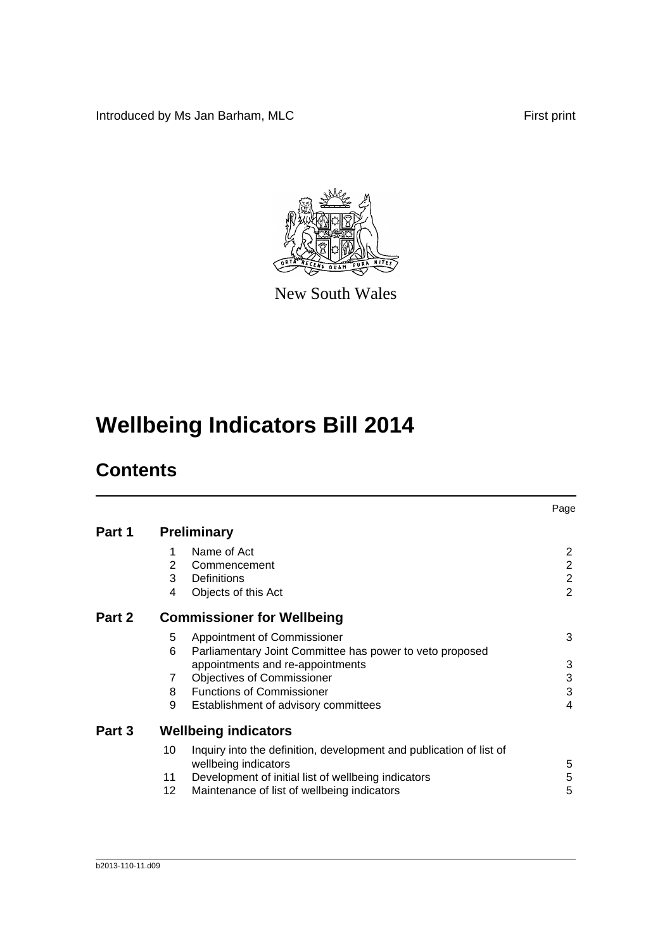Introduced by Ms Jan Barham, MLC First print



New South Wales

# **Wellbeing Indicators Bill 2014**

## **Contents**

|        |    |                                                                                             | Page           |
|--------|----|---------------------------------------------------------------------------------------------|----------------|
| Part 1 |    | <b>Preliminary</b>                                                                          |                |
|        | 1  | Name of Act                                                                                 | 2              |
|        | 2  | Commencement                                                                                | $\overline{2}$ |
|        | 3  | Definitions                                                                                 | $\overline{2}$ |
|        | 4  | Objects of this Act                                                                         | $\overline{2}$ |
| Part 2 |    | <b>Commissioner for Wellbeing</b>                                                           |                |
|        | 5  | Appointment of Commissioner                                                                 | 3              |
|        | 6  | Parliamentary Joint Committee has power to veto proposed                                    |                |
|        |    | appointments and re-appointments                                                            | 3              |
|        | 7  | <b>Objectives of Commissioner</b>                                                           | 3              |
|        | 8  | <b>Functions of Commissioner</b>                                                            | 3              |
|        | 9  | Establishment of advisory committees                                                        | 4              |
| Part 3 |    | <b>Wellbeing indicators</b>                                                                 |                |
|        | 10 | Inquiry into the definition, development and publication of list of<br>wellbeing indicators | 5              |
|        | 11 | Development of initial list of wellbeing indicators                                         | 5              |
|        | 12 | Maintenance of list of wellbeing indicators                                                 | 5              |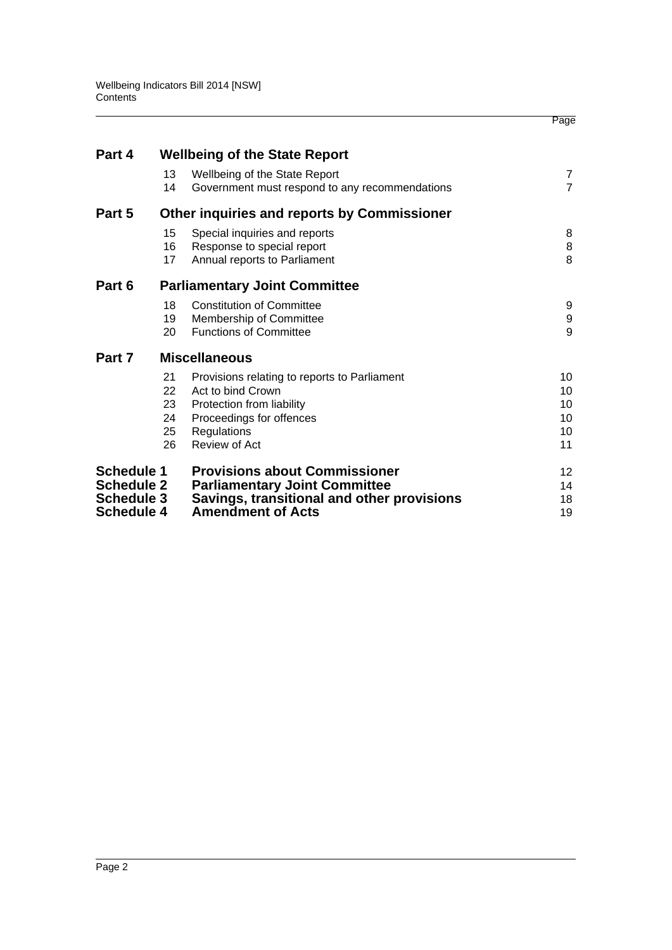|                   |    |                                                | Page            |
|-------------------|----|------------------------------------------------|-----------------|
| Part 4            |    | <b>Wellbeing of the State Report</b>           |                 |
|                   | 13 | Wellbeing of the State Report                  | 7               |
|                   | 14 | Government must respond to any recommendations | $\overline{7}$  |
| Part 5            |    | Other inquiries and reports by Commissioner    |                 |
|                   | 15 | Special inquiries and reports                  | 8               |
|                   | 16 | Response to special report                     | $\, 8$          |
|                   | 17 | Annual reports to Parliament                   | 8               |
| Part 6            |    | <b>Parliamentary Joint Committee</b>           |                 |
|                   | 18 | <b>Constitution of Committee</b>               | 9               |
|                   | 19 | Membership of Committee                        | 9               |
|                   | 20 | <b>Functions of Committee</b>                  | 9               |
| Part 7            |    | <b>Miscellaneous</b>                           |                 |
|                   | 21 | Provisions relating to reports to Parliament   | 10              |
|                   | 22 | Act to bind Crown                              | 10              |
|                   | 23 | Protection from liability                      | 10              |
|                   | 24 | Proceedings for offences                       | 10              |
|                   | 25 | Regulations                                    | 10              |
|                   | 26 | Review of Act                                  | 11              |
| <b>Schedule 1</b> |    | <b>Provisions about Commissioner</b>           | 12 <sup>2</sup> |
| <b>Schedule 2</b> |    | <b>Parliamentary Joint Committee</b>           | 14              |
| <b>Schedule 3</b> |    | Savings, transitional and other provisions     | 18              |
| <b>Schedule 4</b> |    | <b>Amendment of Acts</b>                       | 19              |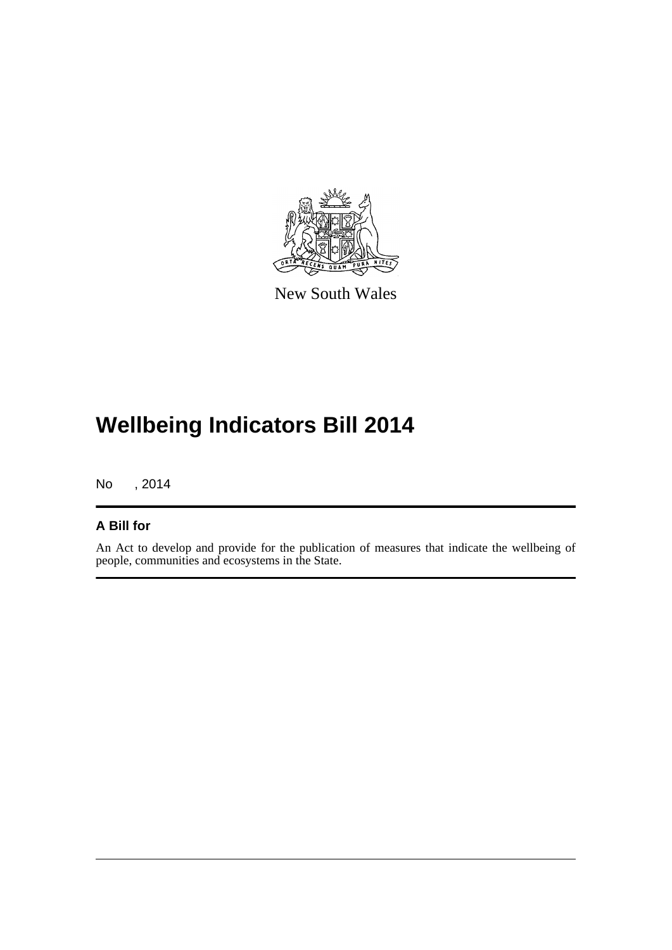

New South Wales

# **Wellbeing Indicators Bill 2014**

No , 2014

### **A Bill for**

An Act to develop and provide for the publication of measures that indicate the wellbeing of people, communities and ecosystems in the State.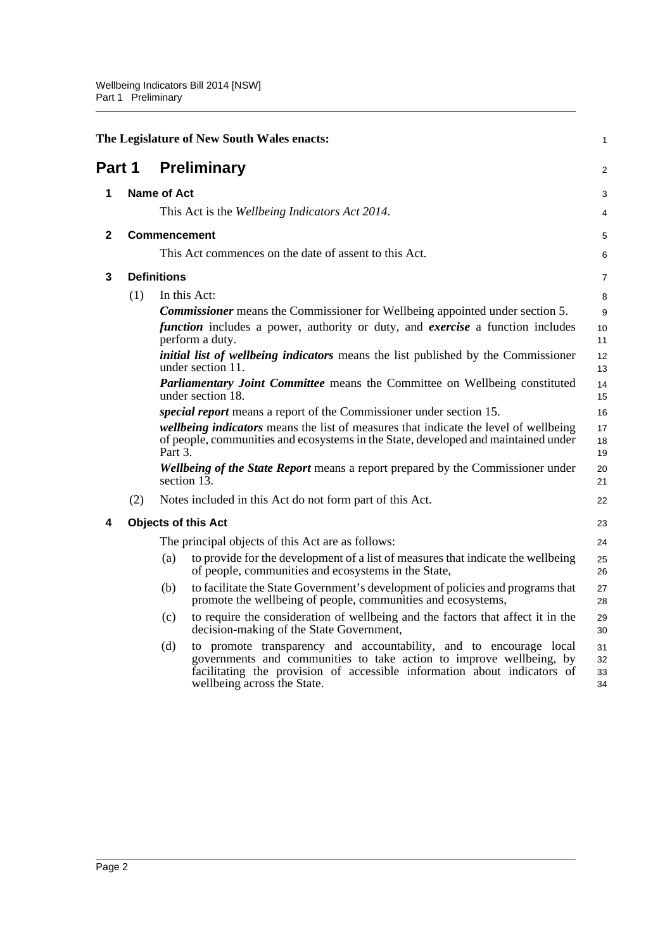<span id="page-7-4"></span><span id="page-7-3"></span><span id="page-7-2"></span><span id="page-7-1"></span><span id="page-7-0"></span>

|              |                            |                    | The Legislature of New South Wales enacts:                                                                                                                                                                                                           | 1                    |  |
|--------------|----------------------------|--------------------|------------------------------------------------------------------------------------------------------------------------------------------------------------------------------------------------------------------------------------------------------|----------------------|--|
| Part 1       |                            |                    | <b>Preliminary</b>                                                                                                                                                                                                                                   | 2                    |  |
| 1            | Name of Act                |                    |                                                                                                                                                                                                                                                      |                      |  |
|              |                            |                    | This Act is the Wellbeing Indicators Act 2014.                                                                                                                                                                                                       | 4                    |  |
| $\mathbf{2}$ |                            |                    | <b>Commencement</b>                                                                                                                                                                                                                                  | 5                    |  |
|              |                            |                    | This Act commences on the date of assent to this Act.                                                                                                                                                                                                | 6                    |  |
| 3            |                            | <b>Definitions</b> |                                                                                                                                                                                                                                                      | $\overline{7}$       |  |
|              | (1)                        |                    | In this Act:                                                                                                                                                                                                                                         | 8                    |  |
|              |                            |                    | <b>Commissioner</b> means the Commissioner for Wellbeing appointed under section 5.                                                                                                                                                                  | 9                    |  |
|              |                            |                    | <i>function</i> includes a power, authority or duty, and <i>exercise</i> a function includes<br>perform a duty.                                                                                                                                      | 10<br>11             |  |
|              |                            |                    | <i>initial list of wellbeing indicators</i> means the list published by the Commissioner<br>under section 11.                                                                                                                                        | 12<br>13             |  |
|              |                            |                    | Parliamentary Joint Committee means the Committee on Wellbeing constituted<br>under section 18.                                                                                                                                                      | 14<br>15             |  |
|              |                            |                    | <i>special report</i> means a report of the Commissioner under section 15.                                                                                                                                                                           | 16                   |  |
|              |                            | Part 3.            | wellbeing indicators means the list of measures that indicate the level of wellbeing<br>of people, communities and ecosystems in the State, developed and maintained under                                                                           | 17<br>18<br>19       |  |
|              |                            |                    | <b>Wellbeing of the State Report</b> means a report prepared by the Commissioner under<br>section $1\overline{3}$ .                                                                                                                                  | 20<br>21             |  |
|              | (2)                        |                    | Notes included in this Act do not form part of this Act.                                                                                                                                                                                             | 22                   |  |
| 4            | <b>Objects of this Act</b> |                    |                                                                                                                                                                                                                                                      | 23                   |  |
|              |                            |                    | The principal objects of this Act are as follows:                                                                                                                                                                                                    | 24                   |  |
|              |                            | (a)                | to provide for the development of a list of measures that indicate the wellbeing<br>of people, communities and ecosystems in the State,                                                                                                              | 25<br>26             |  |
|              |                            | (b)                | to facilitate the State Government's development of policies and programs that<br>promote the wellbeing of people, communities and ecosystems,                                                                                                       | 27<br>28             |  |
|              |                            | (c)                | to require the consideration of wellbeing and the factors that affect it in the<br>decision-making of the State Government,                                                                                                                          | 29<br>30             |  |
|              |                            | (d)                | to promote transparency and accountability, and to encourage local<br>governments and communities to take action to improve wellbeing, by<br>facilitating the provision of accessible information about indicators of<br>wellbeing across the State. | 31<br>32<br>33<br>34 |  |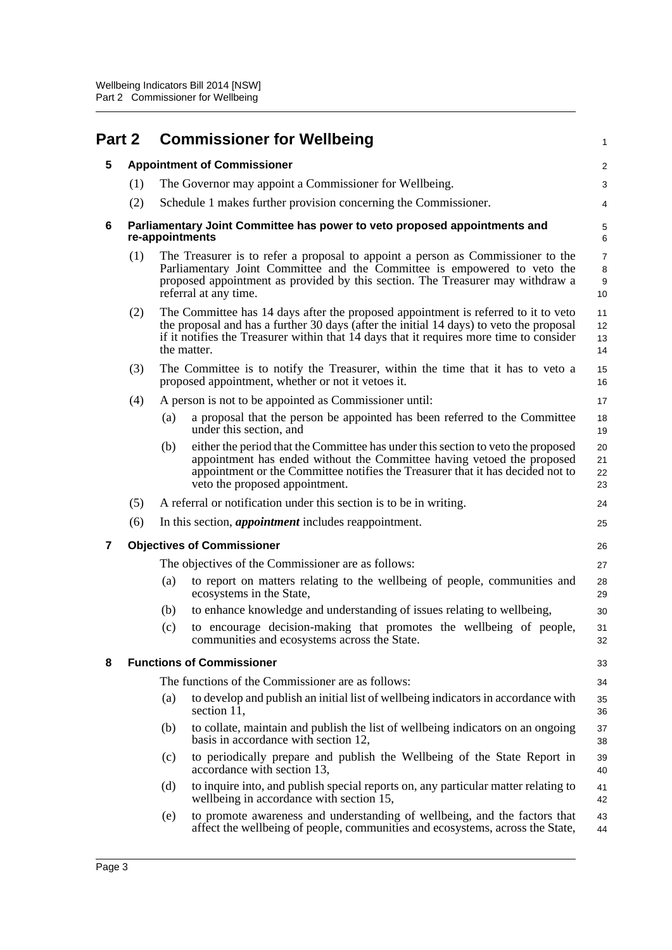<span id="page-8-4"></span><span id="page-8-3"></span><span id="page-8-2"></span><span id="page-8-1"></span><span id="page-8-0"></span>

| Part 2 |     |     | <b>Commissioner for Wellbeing</b>                                                                                                                                                                                                                                                       | $\mathbf{1}$                                  |
|--------|-----|-----|-----------------------------------------------------------------------------------------------------------------------------------------------------------------------------------------------------------------------------------------------------------------------------------------|-----------------------------------------------|
| 5      |     |     | <b>Appointment of Commissioner</b>                                                                                                                                                                                                                                                      | 2                                             |
|        | (1) |     | The Governor may appoint a Commissioner for Wellbeing.                                                                                                                                                                                                                                  | $\sqrt{3}$                                    |
|        | (2) |     | Schedule 1 makes further provision concerning the Commissioner.                                                                                                                                                                                                                         | 4                                             |
| 6      |     |     | Parliamentary Joint Committee has power to veto proposed appointments and<br>re-appointments                                                                                                                                                                                            | 5<br>6                                        |
|        | (1) |     | The Treasurer is to refer a proposal to appoint a person as Commissioner to the<br>Parliamentary Joint Committee and the Committee is empowered to veto the<br>proposed appointment as provided by this section. The Treasurer may withdraw a<br>referral at any time.                  | $\overline{7}$<br>8<br>$\boldsymbol{9}$<br>10 |
|        | (2) |     | The Committee has 14 days after the proposed appointment is referred to it to veto<br>the proposal and has a further 30 days (after the initial 14 days) to veto the proposal<br>if it notifies the Treasurer within that 14 days that it requires more time to consider<br>the matter. | 11<br>12<br>13<br>14                          |
|        | (3) |     | The Committee is to notify the Treasurer, within the time that it has to veto a<br>proposed appointment, whether or not it vetoes it.                                                                                                                                                   | 15<br>16                                      |
|        | (4) |     | A person is not to be appointed as Commissioner until:                                                                                                                                                                                                                                  | 17                                            |
|        |     | (a) | a proposal that the person be appointed has been referred to the Committee<br>under this section, and                                                                                                                                                                                   | 18<br>19                                      |
|        |     | (b) | either the period that the Committee has under this section to veto the proposed<br>appointment has ended without the Committee having vetoed the proposed<br>appointment or the Committee notifies the Treasurer that it has decided not to<br>veto the proposed appointment.          | 20<br>21<br>22<br>23                          |
|        | (5) |     | A referral or notification under this section is to be in writing.                                                                                                                                                                                                                      | 24                                            |
|        | (6) |     | In this section, <i>appointment</i> includes reappointment.                                                                                                                                                                                                                             | 25                                            |
| 7      |     |     | <b>Objectives of Commissioner</b>                                                                                                                                                                                                                                                       | 26                                            |
|        |     |     | The objectives of the Commissioner are as follows:                                                                                                                                                                                                                                      | 27                                            |
|        |     | (a) | to report on matters relating to the wellbeing of people, communities and<br>ecosystems in the State,                                                                                                                                                                                   | 28<br>29                                      |
|        |     | (b) | to enhance knowledge and understanding of issues relating to wellbeing,                                                                                                                                                                                                                 | 30                                            |
|        |     | (c) | to encourage decision-making that promotes the wellbeing of people,<br>communities and ecosystems across the State.                                                                                                                                                                     | 31<br>32                                      |
| 8      |     |     | <b>Functions of Commissioner</b>                                                                                                                                                                                                                                                        | 33                                            |
|        |     |     | The functions of the Commissioner are as follows:                                                                                                                                                                                                                                       | 34                                            |
|        |     | (a) | to develop and publish an initial list of wellbeing indicators in accordance with<br>section 11,                                                                                                                                                                                        | 35<br>36                                      |
|        |     | (b) | to collate, maintain and publish the list of wellbeing indicators on an ongoing<br>basis in accordance with section 12,                                                                                                                                                                 | 37<br>38                                      |
|        |     | (c) | to periodically prepare and publish the Wellbeing of the State Report in<br>accordance with section 13,                                                                                                                                                                                 | 39<br>40                                      |
|        |     | (d) | to inquire into, and publish special reports on, any particular matter relating to<br>wellbeing in accordance with section 15,                                                                                                                                                          | 41<br>42                                      |
|        |     | (e) | to promote awareness and understanding of wellbeing, and the factors that<br>affect the wellbeing of people, communities and ecosystems, across the State,                                                                                                                              | 43<br>44                                      |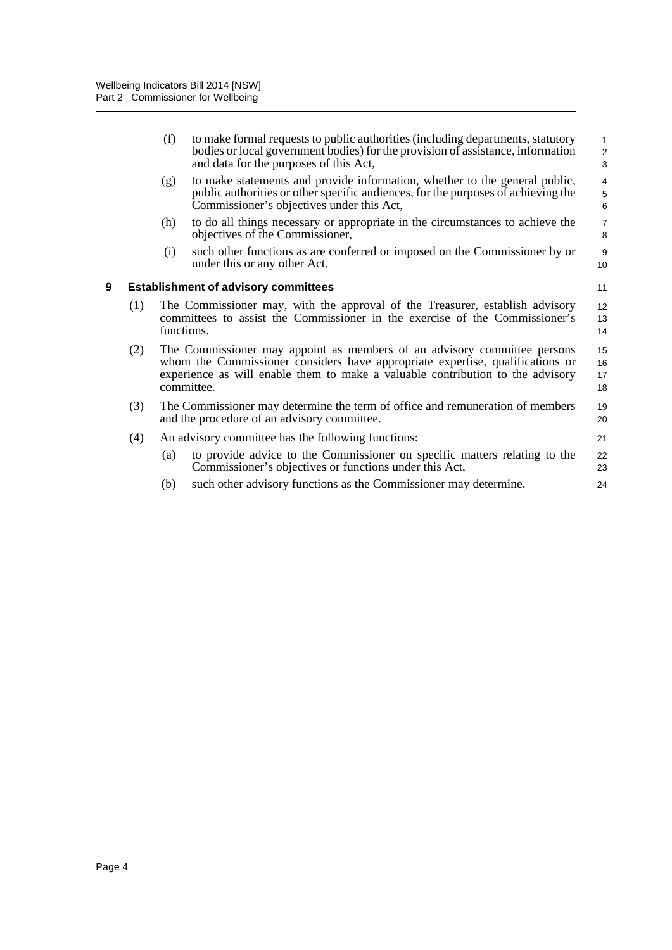<span id="page-9-0"></span>

|   |     | (f)                                                                                                                                                                       | to make formal requests to public authorities (including departments, statutory<br>bodies or local government bodies) for the provision of assistance, information<br>and data for the purposes of this Act,                                              | $\mathbf{1}$<br>$\overline{2}$<br>3 |
|---|-----|---------------------------------------------------------------------------------------------------------------------------------------------------------------------------|-----------------------------------------------------------------------------------------------------------------------------------------------------------------------------------------------------------------------------------------------------------|-------------------------------------|
|   |     | (g)                                                                                                                                                                       | to make statements and provide information, whether to the general public,<br>public authorities or other specific audiences, for the purposes of achieving the<br>Commissioner's objectives under this Act,                                              | $\overline{4}$<br>5<br>$\,6$        |
|   |     | (h)                                                                                                                                                                       | to do all things necessary or appropriate in the circumstances to achieve the<br>objectives of the Commissioner,                                                                                                                                          | $\overline{7}$<br>8                 |
|   |     | (i)                                                                                                                                                                       | such other functions as are conferred or imposed on the Commissioner by or<br>under this or any other Act.                                                                                                                                                | 9<br>10 <sup>10</sup>               |
| 9 |     |                                                                                                                                                                           | <b>Establishment of advisory committees</b>                                                                                                                                                                                                               | 11                                  |
|   | (1) | The Commissioner may, with the approval of the Treasurer, establish advisory<br>committees to assist the Commissioner in the exercise of the Commissioner's<br>functions. |                                                                                                                                                                                                                                                           |                                     |
|   | (2) |                                                                                                                                                                           | The Commissioner may appoint as members of an advisory committee persons<br>whom the Commissioner considers have appropriate expertise, qualifications or<br>experience as will enable them to make a valuable contribution to the advisory<br>committee. | 15<br>16<br>17<br>18                |
|   | (3) |                                                                                                                                                                           | The Commissioner may determine the term of office and remuneration of members<br>and the procedure of an advisory committee.                                                                                                                              | 19<br>20                            |
|   | (4) |                                                                                                                                                                           | An advisory committee has the following functions:                                                                                                                                                                                                        | 21                                  |
|   |     | (a)                                                                                                                                                                       | to provide advice to the Commissioner on specific matters relating to the<br>Commissioner's objectives or functions under this Act,                                                                                                                       | 22<br>23                            |
|   |     | (b)                                                                                                                                                                       | such other advisory functions as the Commissioner may determine.                                                                                                                                                                                          | 24                                  |
|   |     |                                                                                                                                                                           |                                                                                                                                                                                                                                                           |                                     |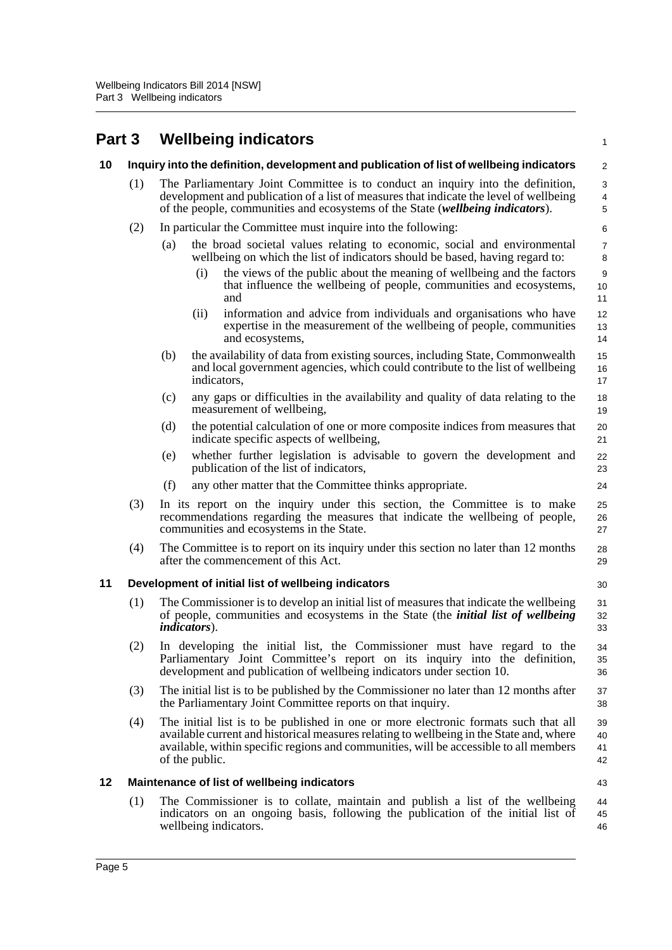## <span id="page-10-1"></span><span id="page-10-0"></span>**Part 3 Wellbeing indicators**

<span id="page-10-3"></span><span id="page-10-2"></span>

| Part 3 |     | <b>Wellbeing indicators</b>                                                                                                                                                                                                                                                               | $\mathbf{1}$                               |
|--------|-----|-------------------------------------------------------------------------------------------------------------------------------------------------------------------------------------------------------------------------------------------------------------------------------------------|--------------------------------------------|
| 10     |     | Inquiry into the definition, development and publication of list of wellbeing indicators                                                                                                                                                                                                  | $\overline{c}$                             |
|        | (1) | The Parliamentary Joint Committee is to conduct an inquiry into the definition,<br>development and publication of a list of measures that indicate the level of wellbeing<br>of the people, communities and ecosystems of the State (wellbeing indicators).                               | $\sqrt{3}$<br>$\overline{4}$<br>$\sqrt{5}$ |
|        | (2) | In particular the Committee must inquire into the following:                                                                                                                                                                                                                              | 6                                          |
|        |     | the broad societal values relating to economic, social and environmental<br>(a)<br>wellbeing on which the list of indicators should be based, having regard to:                                                                                                                           | $\overline{7}$<br>8                        |
|        |     | the views of the public about the meaning of wellbeing and the factors<br>(i)<br>that influence the wellbeing of people, communities and ecosystems,<br>and                                                                                                                               | $\boldsymbol{9}$<br>10<br>11               |
|        |     | information and advice from individuals and organisations who have<br>(i)<br>expertise in the measurement of the wellbeing of people, communities<br>and ecosystems,                                                                                                                      | 12<br>13<br>14                             |
|        |     | the availability of data from existing sources, including State, Commonwealth<br>(b)<br>and local government agencies, which could contribute to the list of wellbeing<br>indicators,                                                                                                     | 15<br>16<br>17                             |
|        |     | (c)<br>any gaps or difficulties in the availability and quality of data relating to the<br>measurement of wellbeing,                                                                                                                                                                      | 18<br>19                                   |
|        |     | the potential calculation of one or more composite indices from measures that<br>(d)<br>indicate specific aspects of wellbeing,                                                                                                                                                           | 20<br>21                                   |
|        |     | whether further legislation is advisable to govern the development and<br>(e)<br>publication of the list of indicators,                                                                                                                                                                   | 22<br>23                                   |
|        |     | (f)<br>any other matter that the Committee thinks appropriate.                                                                                                                                                                                                                            | 24                                         |
|        | (3) | In its report on the inquiry under this section, the Committee is to make<br>recommendations regarding the measures that indicate the wellbeing of people,<br>communities and ecosystems in the State.                                                                                    | 25<br>26<br>27                             |
|        | (4) | The Committee is to report on its inquiry under this section no later than 12 months<br>after the commencement of this Act.                                                                                                                                                               | 28<br>29                                   |
| 11     |     | Development of initial list of wellbeing indicators                                                                                                                                                                                                                                       | 30                                         |
|        | (1) | The Commissioner is to develop an initial list of measures that indicate the wellbeing<br>of people, communities and ecosystems in the State (the <i>initial list of wellbeing</i><br><i>indicators</i> ).                                                                                | 31<br>32<br>33                             |
|        | (2) | In developing the initial list, the Commissioner must have regard to the<br>Parliamentary Joint Committee's report on its inquiry into the definition,<br>development and publication of wellbeing indicators under section 10.                                                           | 34<br>35<br>36                             |
|        | (3) | The initial list is to be published by the Commissioner no later than 12 months after<br>the Parliamentary Joint Committee reports on that inquiry.                                                                                                                                       | 37<br>38                                   |
|        | (4) | The initial list is to be published in one or more electronic formats such that all<br>available current and historical measures relating to wellbeing in the State and, where<br>available, within specific regions and communities, will be accessible to all members<br>of the public. | 39<br>40<br>41<br>42                       |
| 12     |     | Maintenance of list of wellbeing indicators                                                                                                                                                                                                                                               | 43                                         |
|        | (1) | The Commissioner is to collate, maintain and publish a list of the wellbeing<br>indicators on an ongoing basis, following the publication of the initial list of<br>wellbeing indicators.                                                                                                 | 44<br>45<br>46                             |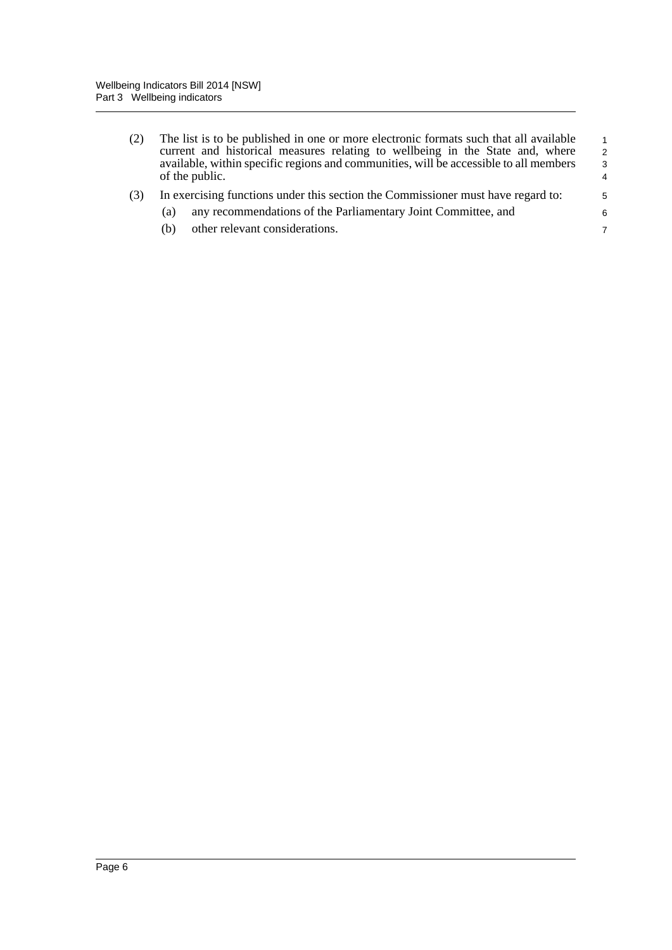| (2) | The list is to be published in one or more electronic formats such that all available<br>current and historical measures relating to wellbeing in the State and, where<br>available, within specific regions and communities, will be accessible to all members<br>of the public. | $\mathbf{1}$<br>$\overline{2}$<br>$\mathbf{3}$<br>4 |
|-----|-----------------------------------------------------------------------------------------------------------------------------------------------------------------------------------------------------------------------------------------------------------------------------------|-----------------------------------------------------|
| (3) | In exercising functions under this section the Commissioner must have regard to:                                                                                                                                                                                                  | $\sqrt{5}$                                          |
|     | any recommendations of the Parliamentary Joint Committee, and<br>(a)                                                                                                                                                                                                              | 6                                                   |

7

(b) other relevant considerations.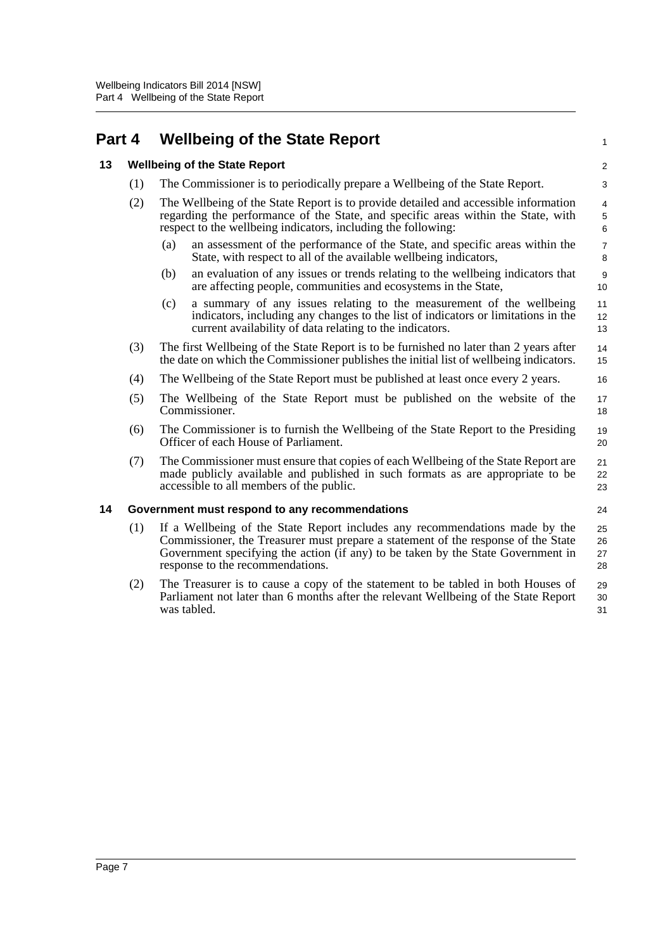<span id="page-12-2"></span><span id="page-12-1"></span><span id="page-12-0"></span>

| Part 4 |                                                | <b>Wellbeing of the State Report</b>                                                                                                                                                                                                                                                     |                                    |  |  |
|--------|------------------------------------------------|------------------------------------------------------------------------------------------------------------------------------------------------------------------------------------------------------------------------------------------------------------------------------------------|------------------------------------|--|--|
| 13     |                                                | <b>Wellbeing of the State Report</b>                                                                                                                                                                                                                                                     |                                    |  |  |
|        | (1)                                            | The Commissioner is to periodically prepare a Wellbeing of the State Report.                                                                                                                                                                                                             | 3                                  |  |  |
|        | (2)                                            | The Wellbeing of the State Report is to provide detailed and accessible information<br>regarding the performance of the State, and specific areas within the State, with<br>respect to the wellbeing indicators, including the following:                                                | $\overline{4}$<br>$\,$ 5 $\,$<br>6 |  |  |
|        |                                                | an assessment of the performance of the State, and specific areas within the<br>(a)<br>State, with respect to all of the available wellbeing indicators,                                                                                                                                 | $\boldsymbol{7}$<br>8              |  |  |
|        |                                                | an evaluation of any issues or trends relating to the wellbeing indicators that<br>(b)<br>are affecting people, communities and ecosystems in the State,                                                                                                                                 | $\boldsymbol{9}$<br>10             |  |  |
|        |                                                | a summary of any issues relating to the measurement of the wellbeing<br>(c)<br>indicators, including any changes to the list of indicators or limitations in the<br>current availability of data relating to the indicators.                                                             | 11<br>12<br>13                     |  |  |
|        | (3)                                            | The first Wellbeing of the State Report is to be furnished no later than 2 years after<br>the date on which the Commissioner publishes the initial list of wellbeing indicators.                                                                                                         | 14<br>15                           |  |  |
|        | (4)                                            | The Wellbeing of the State Report must be published at least once every 2 years.                                                                                                                                                                                                         | 16                                 |  |  |
|        | (5)                                            | The Wellbeing of the State Report must be published on the website of the<br>Commissioner.                                                                                                                                                                                               | 17<br>18                           |  |  |
|        | (6)                                            | The Commissioner is to furnish the Wellbeing of the State Report to the Presiding<br>Officer of each House of Parliament.                                                                                                                                                                | 19<br>20                           |  |  |
|        | (7)                                            | The Commissioner must ensure that copies of each Wellbeing of the State Report are<br>made publicly available and published in such formats as are appropriate to be<br>accessible to all members of the public.                                                                         | 21<br>22<br>23                     |  |  |
| 14     | Government must respond to any recommendations |                                                                                                                                                                                                                                                                                          | 24                                 |  |  |
|        | (1)                                            | If a Wellbeing of the State Report includes any recommendations made by the<br>Commissioner, the Treasurer must prepare a statement of the response of the State<br>Government specifying the action (if any) to be taken by the State Government in<br>response to the recommendations. | 25<br>26<br>27<br>28               |  |  |
|        | (2)                                            | The Treasurer is to cause a copy of the statement to be tabled in both Houses of<br>Parliament not later than 6 months after the relevant Wellbeing of the State Report<br>was tabled.                                                                                                   | 29<br>30<br>31                     |  |  |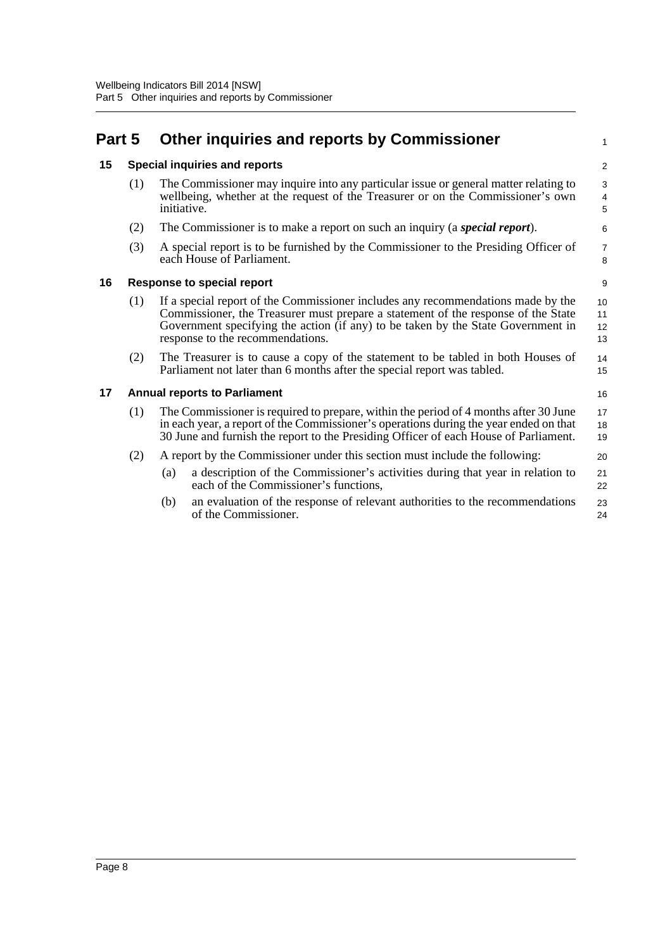## <span id="page-13-0"></span>**Part 5 Other inquiries and reports by Commissioner**

### <span id="page-13-1"></span>**15 Special inquiries and reports**

(1) The Commissioner may inquire into any particular issue or general matter relating to wellbeing, whether at the request of the Treasurer or on the Commissioner's own initiative.

1

16

20 21 22

- (2) The Commissioner is to make a report on such an inquiry (a *special report*).
- (3) A special report is to be furnished by the Commissioner to the Presiding Officer of each House of Parliament.

### <span id="page-13-2"></span>**16 Response to special report**

- (1) If a special report of the Commissioner includes any recommendations made by the Commissioner, the Treasurer must prepare a statement of the response of the State Government specifying the action (if any) to be taken by the State Government in response to the recommendations. 10 11 12 13
- (2) The Treasurer is to cause a copy of the statement to be tabled in both Houses of Parliament not later than 6 months after the special report was tabled. 14 15

### <span id="page-13-3"></span>**17 Annual reports to Parliament**

(1) The Commissioner is required to prepare, within the period of 4 months after 30 June in each year, a report of the Commissioner's operations during the year ended on that 30 June and furnish the report to the Presiding Officer of each House of Parliament. 17 18 19

#### (2) A report by the Commissioner under this section must include the following:

- (a) a description of the Commissioner's activities during that year in relation to each of the Commissioner's functions,
- (b) an evaluation of the response of relevant authorities to the recommendations of the Commissioner. 23 24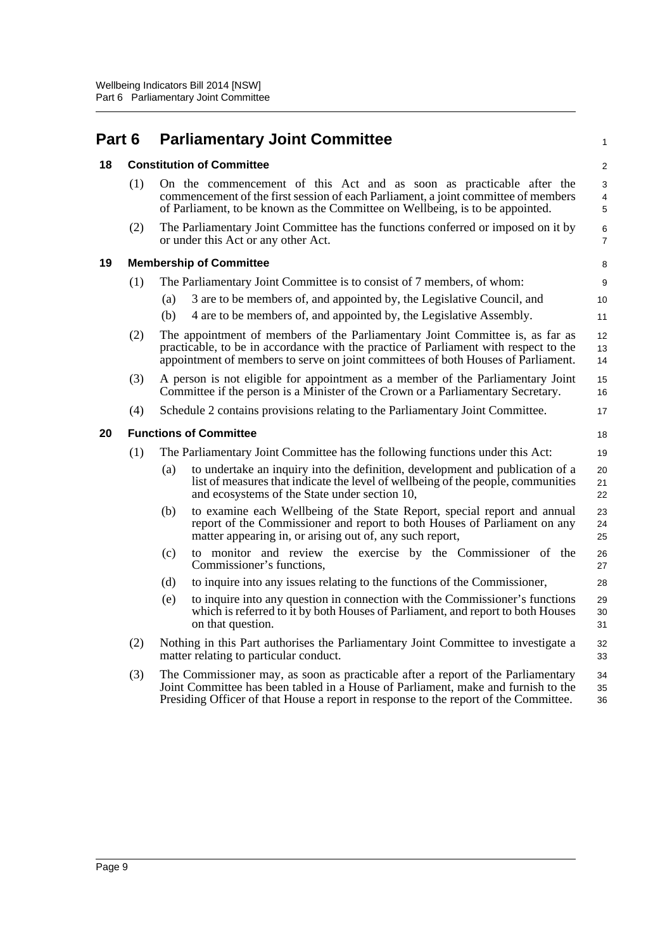<span id="page-14-3"></span><span id="page-14-2"></span><span id="page-14-1"></span><span id="page-14-0"></span>

| Part 6 |     |     | <b>Parliamentary Joint Committee</b>                                                                                                                                                                                                                          | 1                       |
|--------|-----|-----|---------------------------------------------------------------------------------------------------------------------------------------------------------------------------------------------------------------------------------------------------------------|-------------------------|
| 18     |     |     | <b>Constitution of Committee</b>                                                                                                                                                                                                                              | $\overline{\mathbf{c}}$ |
|        | (1) |     | On the commencement of this Act and as soon as practicable after the<br>commencement of the first session of each Parliament, a joint committee of members<br>of Parliament, to be known as the Committee on Wellbeing, is to be appointed.                   | 3<br>4<br>5             |
|        | (2) |     | The Parliamentary Joint Committee has the functions conferred or imposed on it by<br>or under this Act or any other Act.                                                                                                                                      | 6<br>$\overline{7}$     |
| 19     |     |     | <b>Membership of Committee</b>                                                                                                                                                                                                                                | 8                       |
|        | (1) |     | The Parliamentary Joint Committee is to consist of 7 members, of whom:                                                                                                                                                                                        | 9                       |
|        |     | (a) | 3 are to be members of, and appointed by, the Legislative Council, and                                                                                                                                                                                        | 10                      |
|        |     | (b) | 4 are to be members of, and appointed by, the Legislative Assembly.                                                                                                                                                                                           | 11                      |
|        | (2) |     | The appointment of members of the Parliamentary Joint Committee is, as far as<br>practicable, to be in accordance with the practice of Parliament with respect to the<br>appointment of members to serve on joint committees of both Houses of Parliament.    | 12<br>13<br>14          |
|        | (3) |     | A person is not eligible for appointment as a member of the Parliamentary Joint<br>Committee if the person is a Minister of the Crown or a Parliamentary Secretary.                                                                                           | 15<br>16                |
|        | (4) |     | Schedule 2 contains provisions relating to the Parliamentary Joint Committee.                                                                                                                                                                                 | 17                      |
| 20     |     |     | <b>Functions of Committee</b>                                                                                                                                                                                                                                 | 18                      |
|        | (1) |     | The Parliamentary Joint Committee has the following functions under this Act:                                                                                                                                                                                 | 19                      |
|        |     | (a) | to undertake an inquiry into the definition, development and publication of a<br>list of measures that indicate the level of wellbeing of the people, communities<br>and ecosystems of the State under section 10,                                            | 20<br>21<br>22          |
|        |     | (b) | to examine each Wellbeing of the State Report, special report and annual<br>report of the Commissioner and report to both Houses of Parliament on any<br>matter appearing in, or arising out of, any such report,                                             | 23<br>24<br>25          |
|        |     | (c) | to monitor and review the exercise by the Commissioner of the<br>Commissioner's functions,                                                                                                                                                                    | 26<br>27                |
|        |     | (d) | to inquire into any issues relating to the functions of the Commissioner,                                                                                                                                                                                     | 28                      |
|        |     | (e) | to inquire into any question in connection with the Commissioner's functions<br>which is referred to it by both Houses of Parliament, and report to both Houses<br>on that question.                                                                          | 29<br>30<br>31          |
|        | (2) |     | Nothing in this Part authorises the Parliamentary Joint Committee to investigate a<br>matter relating to particular conduct.                                                                                                                                  | 32<br>33                |
|        | (3) |     | The Commissioner may, as soon as practicable after a report of the Parliamentary<br>Joint Committee has been tabled in a House of Parliament, make and furnish to the<br>Presiding Officer of that House a report in response to the report of the Committee. | 34<br>35<br>36          |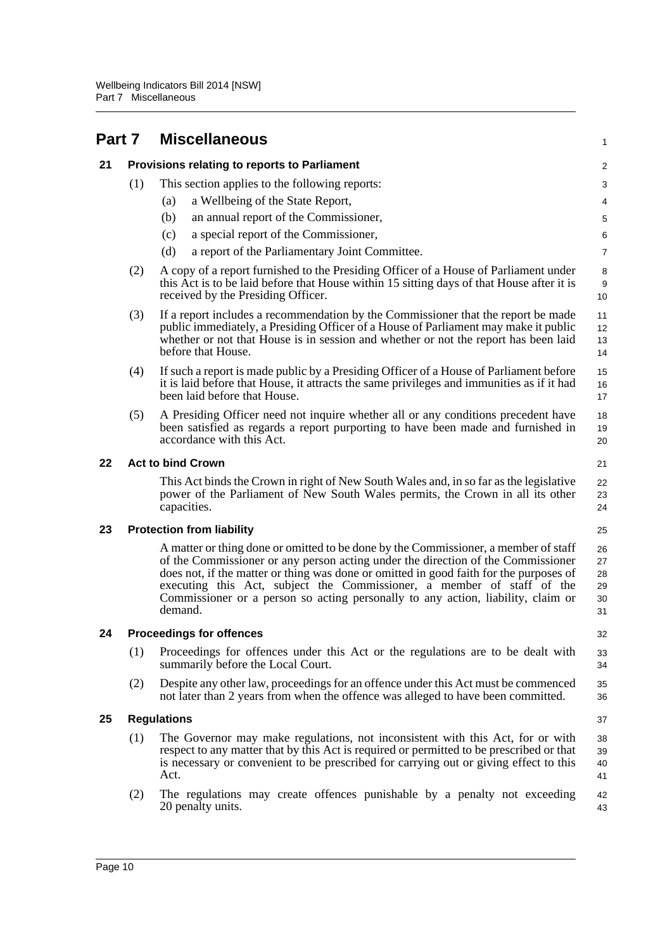<span id="page-15-5"></span><span id="page-15-4"></span><span id="page-15-3"></span><span id="page-15-2"></span><span id="page-15-1"></span><span id="page-15-0"></span>

| Part 7 |                    |         | <b>Miscellaneous</b>                                                                                                                                                                                                                                                                                                                                                                                                            | 1                                |
|--------|--------------------|---------|---------------------------------------------------------------------------------------------------------------------------------------------------------------------------------------------------------------------------------------------------------------------------------------------------------------------------------------------------------------------------------------------------------------------------------|----------------------------------|
| 21     |                    |         | Provisions relating to reports to Parliament                                                                                                                                                                                                                                                                                                                                                                                    | $\overline{\mathbf{c}}$          |
|        | (1)                |         | This section applies to the following reports:                                                                                                                                                                                                                                                                                                                                                                                  | 3                                |
|        |                    | (a)     | a Wellbeing of the State Report,                                                                                                                                                                                                                                                                                                                                                                                                | 4                                |
|        |                    | (b)     | an annual report of the Commissioner,                                                                                                                                                                                                                                                                                                                                                                                           | 5                                |
|        |                    | (c)     | a special report of the Commissioner,                                                                                                                                                                                                                                                                                                                                                                                           | 6                                |
|        |                    | (d)     | a report of the Parliamentary Joint Committee.                                                                                                                                                                                                                                                                                                                                                                                  | 7                                |
|        | (2)                |         | A copy of a report furnished to the Presiding Officer of a House of Parliament under<br>this Act is to be laid before that House within 15 sitting days of that House after it is<br>received by the Presiding Officer.                                                                                                                                                                                                         | 8<br>9<br>10                     |
|        | (3)                |         | If a report includes a recommendation by the Commissioner that the report be made<br>public immediately, a Presiding Officer of a House of Parliament may make it public<br>whether or not that House is in session and whether or not the report has been laid<br>before that House.                                                                                                                                           | 11<br>12<br>13<br>14             |
|        | (4)                |         | If such a report is made public by a Presiding Officer of a House of Parliament before<br>it is laid before that House, it attracts the same privileges and immunities as if it had<br>been laid before that House.                                                                                                                                                                                                             | 15<br>16<br>17                   |
|        | (5)                |         | A Presiding Officer need not inquire whether all or any conditions precedent have<br>been satisfied as regards a report purporting to have been made and furnished in<br>accordance with this Act.                                                                                                                                                                                                                              | 18<br>19<br>20                   |
| 22     |                    |         | <b>Act to bind Crown</b>                                                                                                                                                                                                                                                                                                                                                                                                        | 21                               |
|        |                    |         | This Act binds the Crown in right of New South Wales and, in so far as the legislative<br>power of the Parliament of New South Wales permits, the Crown in all its other<br>capacities.                                                                                                                                                                                                                                         | 22<br>23<br>24                   |
| 23     |                    |         | <b>Protection from liability</b>                                                                                                                                                                                                                                                                                                                                                                                                | 25                               |
|        |                    | demand. | A matter or thing done or omitted to be done by the Commissioner, a member of staff<br>of the Commissioner or any person acting under the direction of the Commissioner<br>does not, if the matter or thing was done or omitted in good faith for the purposes of<br>executing this Act, subject the Commissioner, a member of staff of the<br>Commissioner or a person so acting personally to any action, liability, claim or | 26<br>27<br>28<br>29<br>30<br>31 |
| 24     |                    |         | <b>Proceedings for offences</b>                                                                                                                                                                                                                                                                                                                                                                                                 | 32                               |
|        | (1)                |         | Proceedings for offences under this Act or the regulations are to be dealt with<br>summarily before the Local Court.                                                                                                                                                                                                                                                                                                            | 33<br>34                         |
|        | (2)                |         | Despite any other law, proceedings for an offence under this Act must be commenced<br>not later than 2 years from when the offence was alleged to have been committed.                                                                                                                                                                                                                                                          | 35<br>36                         |
| 25     | <b>Regulations</b> |         | 37                                                                                                                                                                                                                                                                                                                                                                                                                              |                                  |
|        | (1)                | Act.    | The Governor may make regulations, not inconsistent with this Act, for or with<br>respect to any matter that by this Act is required or permitted to be prescribed or that<br>is necessary or convenient to be prescribed for carrying out or giving effect to this                                                                                                                                                             | 38<br>39<br>40<br>41             |
|        | (2)                |         | The regulations may create offences punishable by a penalty not exceeding<br>20 penalty units.                                                                                                                                                                                                                                                                                                                                  | 42<br>43                         |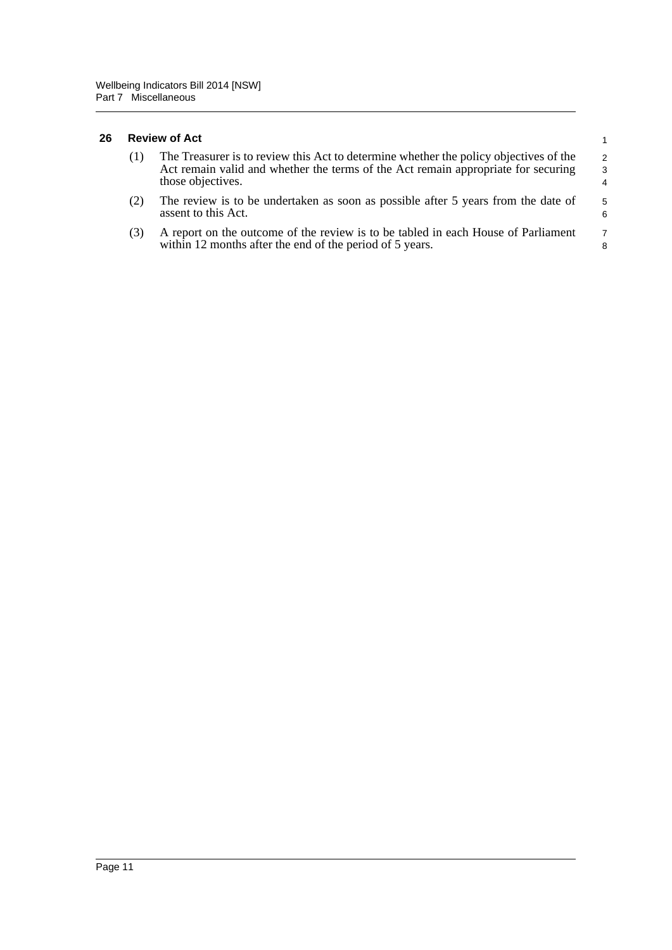#### <span id="page-16-0"></span>**26 Review of Act**

| (1) | The Treasurer is to review this Act to determine whether the policy objectives of the<br>Act remain valid and whether the terms of the Act remain appropriate for securing<br>those objectives. | $\overline{2}$<br>$\mathcal{R}$<br>4 |
|-----|-------------------------------------------------------------------------------------------------------------------------------------------------------------------------------------------------|--------------------------------------|
| (2) | The review is to be undertaken as soon as possible after 5 years from the date of                                                                                                               | 5                                    |

1

6 7 8

- (2) The review is to be undertaken as soon as possible after 5 years from the date of assent to this Act.
- (3) A report on the outcome of the review is to be tabled in each House of Parliament within 12 months after the end of the period of 5 years.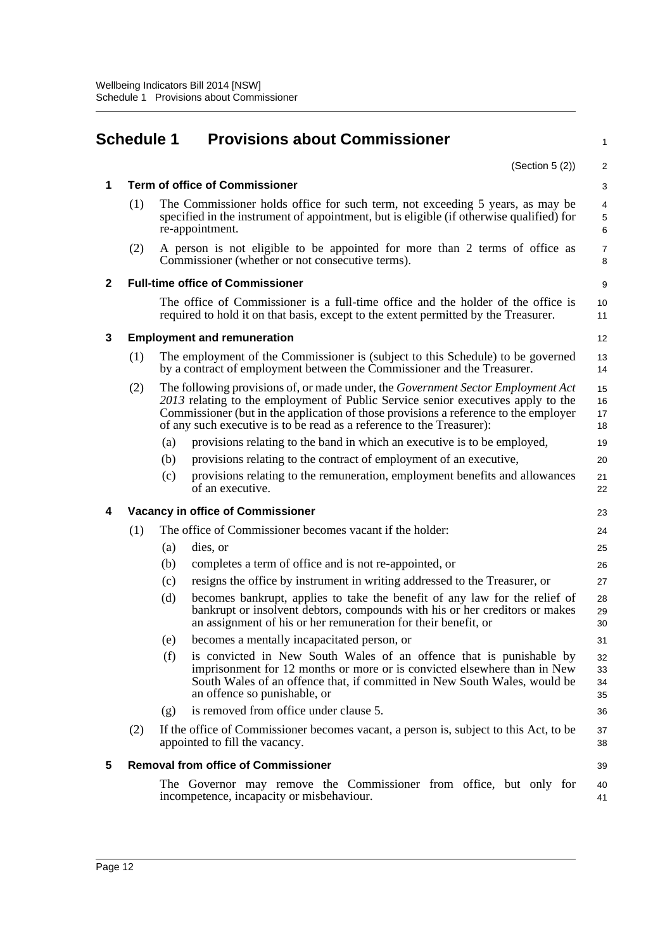<span id="page-17-0"></span>

|              | <b>Schedule 1</b>                     |     | <b>Provisions about Commissioner</b>                                                                                                                                                                                                                                                                                                         | 1                     |  |  |
|--------------|---------------------------------------|-----|----------------------------------------------------------------------------------------------------------------------------------------------------------------------------------------------------------------------------------------------------------------------------------------------------------------------------------------------|-----------------------|--|--|
|              |                                       |     | (Section $5(2)$ )                                                                                                                                                                                                                                                                                                                            | 2                     |  |  |
| 1            | <b>Term of office of Commissioner</b> |     |                                                                                                                                                                                                                                                                                                                                              |                       |  |  |
|              | (1)                                   |     | The Commissioner holds office for such term, not exceeding 5 years, as may be<br>specified in the instrument of appointment, but is eligible (if otherwise qualified) for<br>re-appointment.                                                                                                                                                 | 4<br>$\,$ 5 $\,$<br>6 |  |  |
|              | (2)                                   |     | A person is not eligible to be appointed for more than 2 terms of office as<br>Commissioner (whether or not consecutive terms).                                                                                                                                                                                                              | 7<br>8                |  |  |
| $\mathbf{2}$ |                                       |     | <b>Full-time office of Commissioner</b>                                                                                                                                                                                                                                                                                                      | 9                     |  |  |
|              |                                       |     | The office of Commissioner is a full-time office and the holder of the office is<br>required to hold it on that basis, except to the extent permitted by the Treasurer.                                                                                                                                                                      | 10<br>11              |  |  |
| 3            |                                       |     | <b>Employment and remuneration</b>                                                                                                                                                                                                                                                                                                           | 12                    |  |  |
|              | (1)                                   |     | The employment of the Commissioner is (subject to this Schedule) to be governed<br>by a contract of employment between the Commissioner and the Treasurer.                                                                                                                                                                                   | 13<br>14              |  |  |
|              | (2)                                   |     | The following provisions of, or made under, the <i>Government Sector Employment Act</i><br>2013 relating to the employment of Public Service senior executives apply to the<br>Commissioner (but in the application of those provisions a reference to the employer<br>of any such executive is to be read as a reference to the Treasurer): | 15<br>16<br>17<br>18  |  |  |
|              |                                       | (a) | provisions relating to the band in which an executive is to be employed,                                                                                                                                                                                                                                                                     | 19                    |  |  |
|              |                                       | (b) | provisions relating to the contract of employment of an executive,                                                                                                                                                                                                                                                                           | 20                    |  |  |
|              |                                       | (c) | provisions relating to the remuneration, employment benefits and allowances<br>of an executive.                                                                                                                                                                                                                                              | 21<br>22              |  |  |
| 4            |                                       |     | <b>Vacancy in office of Commissioner</b>                                                                                                                                                                                                                                                                                                     | 23                    |  |  |
|              | (1)                                   |     | The office of Commissioner becomes vacant if the holder:                                                                                                                                                                                                                                                                                     | 24                    |  |  |
|              |                                       | (a) | dies, or                                                                                                                                                                                                                                                                                                                                     | 25                    |  |  |
|              |                                       | (b) | completes a term of office and is not re-appointed, or                                                                                                                                                                                                                                                                                       | 26                    |  |  |
|              |                                       | (c) | resigns the office by instrument in writing addressed to the Treasurer, or                                                                                                                                                                                                                                                                   | 27                    |  |  |
|              |                                       | (d) | becomes bankrupt, applies to take the benefit of any law for the relief of<br>bankrupt or insolvent debtors, compounds with his or her creditors or makes<br>an assignment of his or her remuneration for their benefit, or                                                                                                                  | 28<br>29<br>30        |  |  |
|              |                                       | (e) | becomes a mentally incapacitated person, or                                                                                                                                                                                                                                                                                                  | 31                    |  |  |
|              |                                       | (f) | is convicted in New South Wales of an offence that is punishable by<br>imprisonment for 12 months or more or is convicted elsewhere than in New<br>South Wales of an offence that, if committed in New South Wales, would be<br>an offence so punishable, or                                                                                 | 32<br>33<br>34<br>35  |  |  |
|              |                                       | (g) | is removed from office under clause 5.                                                                                                                                                                                                                                                                                                       | 36                    |  |  |
|              | (2)                                   |     | If the office of Commissioner becomes vacant, a person is, subject to this Act, to be<br>appointed to fill the vacancy.                                                                                                                                                                                                                      | 37<br>38              |  |  |
| 5            |                                       |     | <b>Removal from office of Commissioner</b>                                                                                                                                                                                                                                                                                                   | 39                    |  |  |
|              |                                       |     | The Governor may remove the Commissioner from office, but only for<br>incompetence, incapacity or misbehaviour.                                                                                                                                                                                                                              | 40<br>41              |  |  |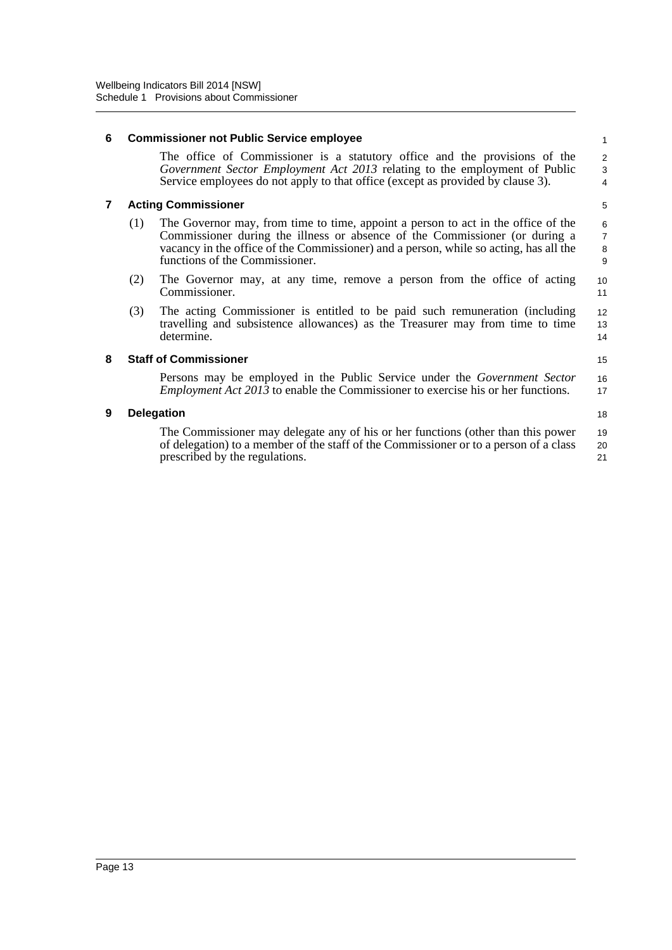#### **6 Commissioner not Public Service employee** The office of Commissioner is a statutory office and the provisions of the *Government Sector Employment Act 2013* relating to the employment of Public Service employees do not apply to that office (except as provided by clause 3). **7 Acting Commissioner** (1) The Governor may, from time to time, appoint a person to act in the office of the Commissioner during the illness or absence of the Commissioner (or during a vacancy in the office of the Commissioner) and a person, while so acting, has all the functions of the Commissioner. (2) The Governor may, at any time, remove a person from the office of acting Commissioner. (3) The acting Commissioner is entitled to be paid such remuneration (including travelling and subsistence allowances) as the Treasurer may from time to time determine. **8 Staff of Commissioner** Persons may be employed in the Public Service under the *Government Sector Employment Act 2013* to enable the Commissioner to exercise his or her functions. **9 Delegation** The Commissioner may delegate any of his or her functions (other than this power of delegation) to a member of the staff of the Commissioner or to a person of a class prescribed by the regulations. 1  $\overline{2}$ 3 4 5 6 7 8 9 10 11 12 13 14 15 16 17 18 19 20 21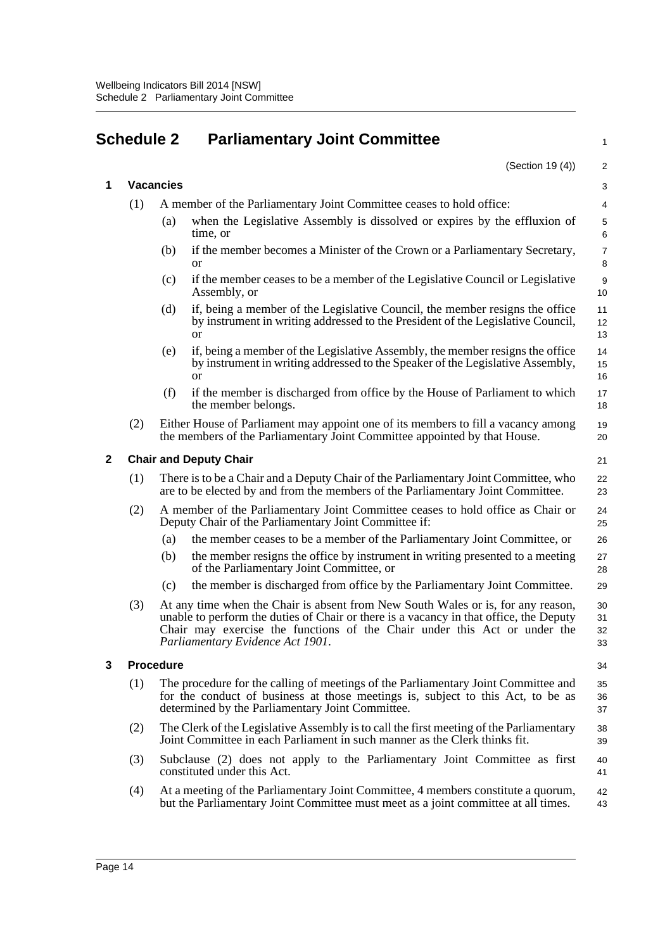## <span id="page-19-0"></span>**Schedule 2 Parliamentary Joint Committee**

|             |                               |                                                                                                                                                                                                                                                                                             | (Section 19 (4))                                                                                                                                                                 | 2                      |  |
|-------------|-------------------------------|---------------------------------------------------------------------------------------------------------------------------------------------------------------------------------------------------------------------------------------------------------------------------------------------|----------------------------------------------------------------------------------------------------------------------------------------------------------------------------------|------------------------|--|
| 1           | <b>Vacancies</b>              |                                                                                                                                                                                                                                                                                             |                                                                                                                                                                                  |                        |  |
|             | (1)                           |                                                                                                                                                                                                                                                                                             | A member of the Parliamentary Joint Committee ceases to hold office:                                                                                                             | 4                      |  |
|             |                               | (a)                                                                                                                                                                                                                                                                                         | when the Legislative Assembly is dissolved or expires by the effluxion of<br>time, or                                                                                            | $\mathbf 5$<br>6       |  |
|             |                               | (b)                                                                                                                                                                                                                                                                                         | if the member becomes a Minister of the Crown or a Parliamentary Secretary,<br><sub>or</sub>                                                                                     | $\overline{7}$<br>8    |  |
|             |                               | (c)                                                                                                                                                                                                                                                                                         | if the member ceases to be a member of the Legislative Council or Legislative<br>Assembly, or                                                                                    | $\boldsymbol{9}$<br>10 |  |
|             |                               | (d)                                                                                                                                                                                                                                                                                         | if, being a member of the Legislative Council, the member resigns the office<br>by instrument in writing addressed to the President of the Legislative Council,<br><sub>or</sub> | 11<br>12<br>13         |  |
|             |                               | (e)                                                                                                                                                                                                                                                                                         | if, being a member of the Legislative Assembly, the member resigns the office<br>by instrument in writing addressed to the Speaker of the Legislative Assembly,<br><sub>or</sub> | 14<br>15<br>16         |  |
|             |                               | (f)                                                                                                                                                                                                                                                                                         | if the member is discharged from office by the House of Parliament to which<br>the member belongs.                                                                               | 17<br>18               |  |
|             | (2)                           |                                                                                                                                                                                                                                                                                             | Either House of Parliament may appoint one of its members to fill a vacancy among<br>the members of the Parliamentary Joint Committee appointed by that House.                   | 19<br>20               |  |
| $\mathbf 2$ | <b>Chair and Deputy Chair</b> |                                                                                                                                                                                                                                                                                             |                                                                                                                                                                                  |                        |  |
|             | (1)                           | There is to be a Chair and a Deputy Chair of the Parliamentary Joint Committee, who<br>are to be elected by and from the members of the Parliamentary Joint Committee.                                                                                                                      |                                                                                                                                                                                  | 22<br>23               |  |
|             | (2)                           |                                                                                                                                                                                                                                                                                             | A member of the Parliamentary Joint Committee ceases to hold office as Chair or<br>Deputy Chair of the Parliamentary Joint Committee if:                                         | 24<br>25               |  |
|             |                               | (a)                                                                                                                                                                                                                                                                                         | the member ceases to be a member of the Parliamentary Joint Committee, or                                                                                                        | 26                     |  |
|             |                               | (b)                                                                                                                                                                                                                                                                                         | the member resigns the office by instrument in writing presented to a meeting<br>of the Parliamentary Joint Committee, or                                                        | 27<br>28               |  |
|             |                               | (c)                                                                                                                                                                                                                                                                                         | the member is discharged from office by the Parliamentary Joint Committee.                                                                                                       | 29                     |  |
|             | (3)                           | At any time when the Chair is absent from New South Wales or is, for any reason,<br>unable to perform the duties of Chair or there is a vacancy in that office, the Deputy<br>Chair may exercise the functions of the Chair under this Act or under the<br>Parliamentary Evidence Act 1901. |                                                                                                                                                                                  | 30<br>31<br>32<br>33   |  |
| 3           | <b>Procedure</b><br>34        |                                                                                                                                                                                                                                                                                             |                                                                                                                                                                                  |                        |  |
|             | (1)                           | The procedure for the calling of meetings of the Parliamentary Joint Committee and<br>for the conduct of business at those meetings is, subject to this Act, to be as<br>determined by the Parliamentary Joint Committee.                                                                   |                                                                                                                                                                                  | 35<br>36<br>37         |  |
|             | (2)                           | The Clerk of the Legislative Assembly is to call the first meeting of the Parliamentary<br>Joint Committee in each Parliament in such manner as the Clerk thinks fit.                                                                                                                       |                                                                                                                                                                                  | 38<br>39               |  |
|             | (3)                           | Subclause (2) does not apply to the Parliamentary Joint Committee as first<br>constituted under this Act.                                                                                                                                                                                   |                                                                                                                                                                                  |                        |  |
|             | (4)                           |                                                                                                                                                                                                                                                                                             | At a meeting of the Parliamentary Joint Committee, 4 members constitute a quorum,<br>but the Parliamentary Joint Committee must meet as a joint committee at all times.          | 42<br>43               |  |
|             |                               |                                                                                                                                                                                                                                                                                             |                                                                                                                                                                                  |                        |  |

1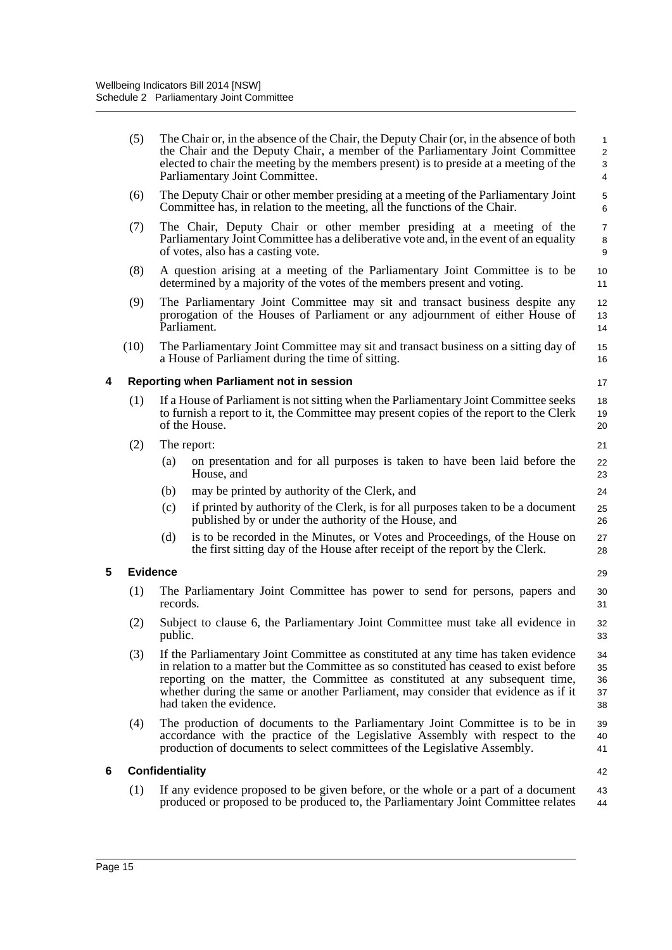|                      | (5)             | The Chair or, in the absence of the Chair, the Deputy Chair (or, in the absence of both<br>the Chair and the Deputy Chair, a member of the Parliamentary Joint Committee<br>elected to chair the meeting by the members present) is to preside at a meeting of the<br>Parliamentary Joint Committee.                                                                           |                |  |  |
|----------------------|-----------------|--------------------------------------------------------------------------------------------------------------------------------------------------------------------------------------------------------------------------------------------------------------------------------------------------------------------------------------------------------------------------------|----------------|--|--|
|                      | (6)             | The Deputy Chair or other member presiding at a meeting of the Parliamentary Joint<br>Committee has, in relation to the meeting, all the functions of the Chair.                                                                                                                                                                                                               | 5<br>6         |  |  |
|                      | (7)             | The Chair, Deputy Chair or other member presiding at a meeting of the<br>Parliamentary Joint Committee has a deliberative vote and, in the event of an equality<br>of votes, also has a casting vote.                                                                                                                                                                          | 7<br>8<br>9    |  |  |
| (8)                  |                 | A question arising at a meeting of the Parliamentary Joint Committee is to be<br>determined by a majority of the votes of the members present and voting.                                                                                                                                                                                                                      | 10<br>11       |  |  |
|                      | (9)             | The Parliamentary Joint Committee may sit and transact business despite any<br>prorogation of the Houses of Parliament or any adjournment of either House of<br>Parliament.                                                                                                                                                                                                    |                |  |  |
|                      | (10)            | The Parliamentary Joint Committee may sit and transact business on a sitting day of<br>a House of Parliament during the time of sitting.                                                                                                                                                                                                                                       | 15<br>16       |  |  |
| 4                    |                 | Reporting when Parliament not in session                                                                                                                                                                                                                                                                                                                                       | 17             |  |  |
| (1)<br>of the House. |                 | If a House of Parliament is not sitting when the Parliamentary Joint Committee seeks<br>to furnish a report to it, the Committee may present copies of the report to the Clerk                                                                                                                                                                                                 | 18<br>19<br>20 |  |  |
|                      | (2)             | The report:                                                                                                                                                                                                                                                                                                                                                                    | 21             |  |  |
|                      |                 | (a)<br>on presentation and for all purposes is taken to have been laid before the<br>House, and                                                                                                                                                                                                                                                                                | 22<br>23       |  |  |
|                      |                 | may be printed by authority of the Clerk, and<br>(b)                                                                                                                                                                                                                                                                                                                           | 24             |  |  |
|                      |                 | if printed by authority of the Clerk, is for all purposes taken to be a document<br>(c)<br>published by or under the authority of the House, and                                                                                                                                                                                                                               | 25<br>26       |  |  |
|                      |                 | is to be recorded in the Minutes, or Votes and Proceedings, of the House on<br>(d)<br>the first sitting day of the House after receipt of the report by the Clerk.                                                                                                                                                                                                             | 27<br>28       |  |  |
| 5                    | <b>Evidence</b> |                                                                                                                                                                                                                                                                                                                                                                                | 29             |  |  |
|                      | (1)             | The Parliamentary Joint Committee has power to send for persons, papers and<br>records.                                                                                                                                                                                                                                                                                        |                |  |  |
| (2)<br>public.       |                 | Subject to clause 6, the Parliamentary Joint Committee must take all evidence in                                                                                                                                                                                                                                                                                               | 32<br>33       |  |  |
|                      | (3)             | If the Parliamentary Joint Committee as constituted at any time has taken evidence<br>in relation to a matter but the Committee as so constituted has ceased to exist before<br>reporting on the matter, the Committee as constituted at any subsequent time,<br>whether during the same or another Parliament, may consider that evidence as if it<br>had taken the evidence. |                |  |  |
|                      | (4)             | The production of documents to the Parliamentary Joint Committee is to be in<br>accordance with the practice of the Legislative Assembly with respect to the<br>production of documents to select committees of the Legislative Assembly.                                                                                                                                      | 39<br>40<br>41 |  |  |
| 6                    |                 | <b>Confidentiality</b>                                                                                                                                                                                                                                                                                                                                                         |                |  |  |
|                      | (1)             | If any evidence proposed to be given before, or the whole or a part of a document<br>produced or proposed to be produced to, the Parliamentary Joint Committee relates                                                                                                                                                                                                         | 42<br>43<br>44 |  |  |
|                      |                 |                                                                                                                                                                                                                                                                                                                                                                                |                |  |  |

**5 Evidence**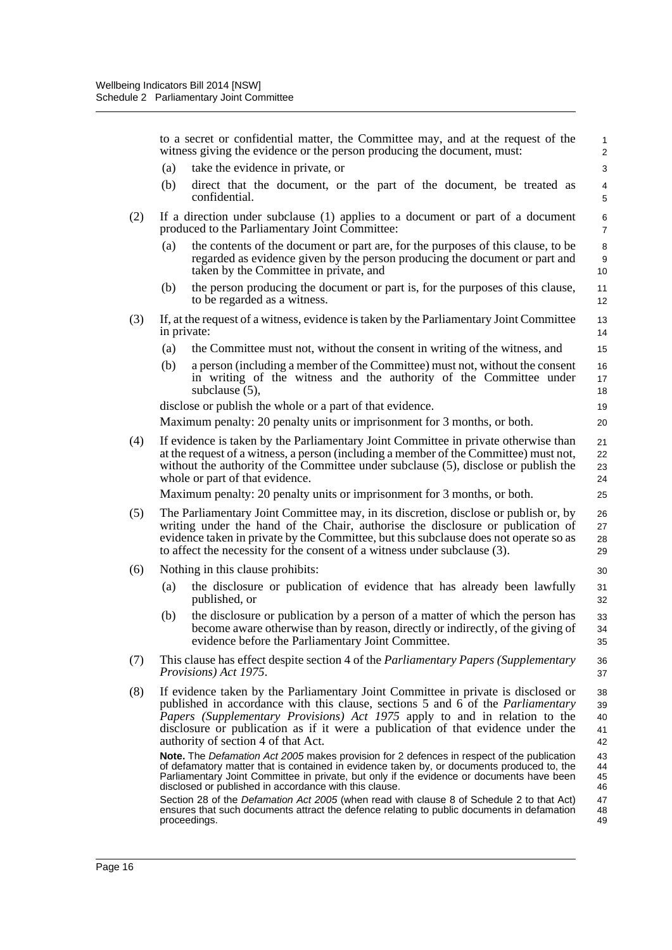to a secret or confidential matter, the Committee may, and at the request of the witness giving the evidence or the person producing the document, must: (a) take the evidence in private, or (b) direct that the document, or the part of the document, be treated as confidential. (2) If a direction under subclause (1) applies to a document or part of a document produced to the Parliamentary Joint Committee: (a) the contents of the document or part are, for the purposes of this clause, to be regarded as evidence given by the person producing the document or part and taken by the Committee in private, and (b) the person producing the document or part is, for the purposes of this clause, to be regarded as a witness. (3) If, at the request of a witness, evidence is taken by the Parliamentary Joint Committee in private: (a) the Committee must not, without the consent in writing of the witness, and (b) a person (including a member of the Committee) must not, without the consent in writing of the witness and the authority of the Committee under subclause (5), disclose or publish the whole or a part of that evidence. Maximum penalty: 20 penalty units or imprisonment for 3 months, or both. (4) If evidence is taken by the Parliamentary Joint Committee in private otherwise than at the request of a witness, a person (including a member of the Committee) must not, without the authority of the Committee under subclause (5), disclose or publish the whole or part of that evidence. Maximum penalty: 20 penalty units or imprisonment for 3 months, or both. (5) The Parliamentary Joint Committee may, in its discretion, disclose or publish or, by writing under the hand of the Chair, authorise the disclosure or publication of evidence taken in private by the Committee, but this subclause does not operate so as to affect the necessity for the consent of a witness under subclause (3). (6) Nothing in this clause prohibits: (a) the disclosure or publication of evidence that has already been lawfully published, or (b) the disclosure or publication by a person of a matter of which the person has become aware otherwise than by reason, directly or indirectly, of the giving of evidence before the Parliamentary Joint Committee. (7) This clause has effect despite section 4 of the *Parliamentary Papers (Supplementary Provisions) Act 1975*. (8) If evidence taken by the Parliamentary Joint Committee in private is disclosed or published in accordance with this clause, sections 5 and 6 of the *Parliamentary Papers (Supplementary Provisions) Act 1975* apply to and in relation to the disclosure or publication as if it were a publication of that evidence under the authority of section 4 of that Act. **Note.** The *Defamation Act 2005* makes provision for 2 defences in respect of the publication of defamatory matter that is contained in evidence taken by, or documents produced to, the Parliamentary Joint Committee in private, but only if the evidence or documents have been disclosed or published in accordance with this clause. Section 28 of the *Defamation Act 2005* (when read with clause 8 of Schedule 2 to that Act) 1 2 3 4 5 6 7 8 9 10 11 12 13 14 15 16 17 18 19 20  $21$ 22 23  $24$ 25 26 27 28 29 30 31 32 33 34 35 36 37 38 39 40 41 42 43 44 45 46 47

ensures that such documents attract the defence relating to public documents in defamation

48 49

proceedings.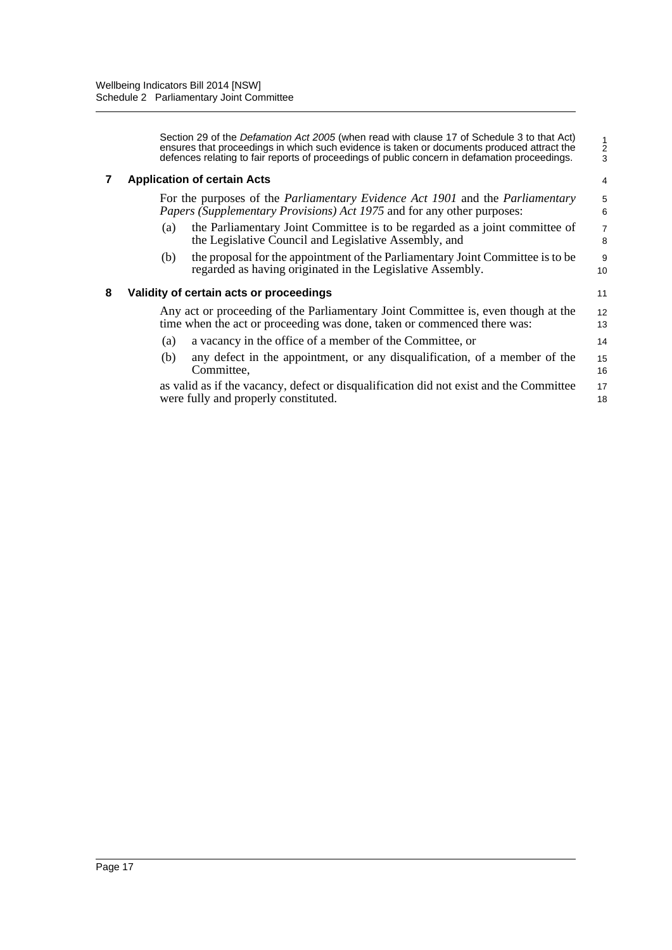|   | Section 29 of the <i>Defamation Act 2005</i> (when read with clause 17 of Schedule 3 to that Act)<br>ensures that proceedings in which such evidence is taken or documents produced attract the<br>defences relating to fair reports of proceedings of public concern in defamation proceedings. | $\frac{1}{2}$<br>3  |  |
|---|--------------------------------------------------------------------------------------------------------------------------------------------------------------------------------------------------------------------------------------------------------------------------------------------------|---------------------|--|
|   | <b>Application of certain Acts</b>                                                                                                                                                                                                                                                               |                     |  |
|   | For the purposes of the <i>Parliamentary Evidence Act 1901</i> and the <i>Parliamentary</i><br>Papers (Supplementary Provisions) Act 1975 and for any other purposes:                                                                                                                            |                     |  |
|   | the Parliamentary Joint Committee is to be regarded as a joint committee of<br>(a)<br>the Legislative Council and Legislative Assembly, and                                                                                                                                                      | $\overline{7}$<br>8 |  |
|   | the proposal for the appointment of the Parliamentary Joint Committee is to be<br>(b)<br>regarded as having originated in the Legislative Assembly.                                                                                                                                              | 9<br>10             |  |
| 8 | Validity of certain acts or proceedings                                                                                                                                                                                                                                                          |                     |  |
|   | Any act or proceeding of the Parliamentary Joint Committee is, even though at the<br>time when the act or proceeding was done, taken or commenced there was:                                                                                                                                     | 12<br>13            |  |
|   | a vacancy in the office of a member of the Committee, or<br>(a)                                                                                                                                                                                                                                  | 14                  |  |
|   | any defect in the appointment, or any disqualification, of a member of the<br>(b)<br>Committee.                                                                                                                                                                                                  | 15<br>16            |  |
|   | as valid as if the vacancy, defect or disqualification did not exist and the Committee<br>were fully and properly constituted.                                                                                                                                                                   | 17<br>18            |  |
|   |                                                                                                                                                                                                                                                                                                  |                     |  |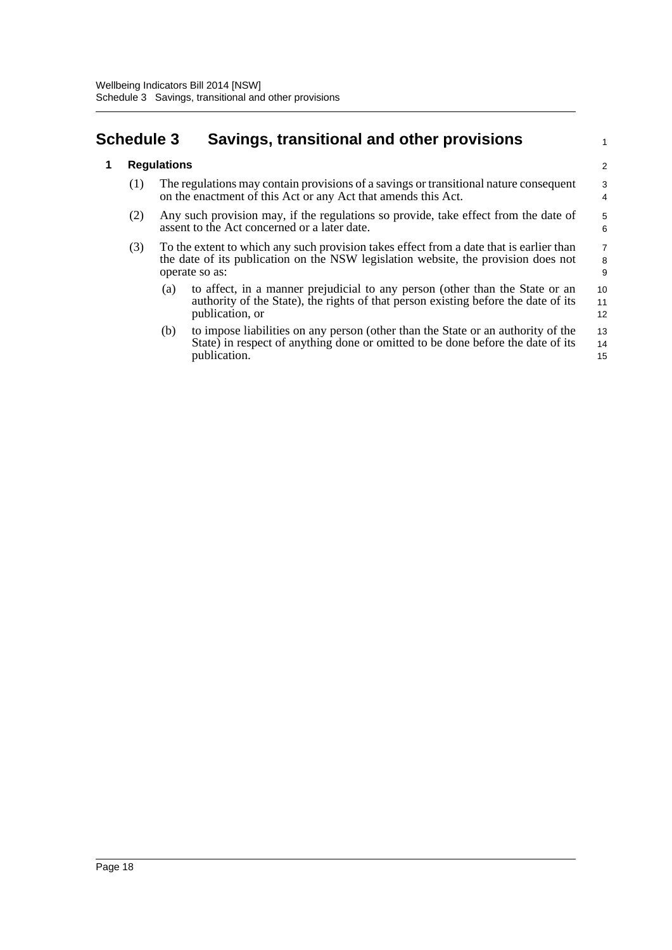## <span id="page-23-0"></span>**Schedule 3 Savings, transitional and other provisions**

### **1 Regulations**

- (1) The regulations may contain provisions of a savings or transitional nature consequent on the enactment of this Act or any Act that amends this Act.
- (2) Any such provision may, if the regulations so provide, take effect from the date of assent to the Act concerned or a later date.
- (3) To the extent to which any such provision takes effect from a date that is earlier than the date of its publication on the NSW legislation website, the provision does not operate so as:
	- (a) to affect, in a manner prejudicial to any person (other than the State or an authority of the State), the rights of that person existing before the date of its publication, or 10 11 12

1

(b) to impose liabilities on any person (other than the State or an authority of the State) in respect of anything done or omitted to be done before the date of its publication. 13 14 15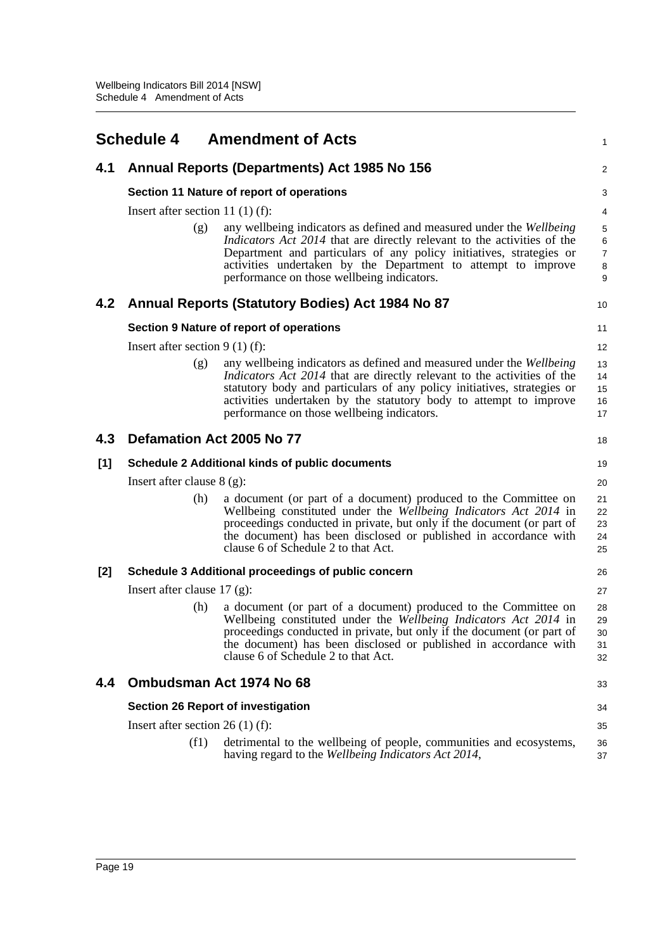<span id="page-24-0"></span>

|     | <b>Schedule 4</b>                                      | <b>Amendment of Acts</b>                                                                                                                                                                                                                                                                                                                             | $\mathbf{1}$                       |  |  |
|-----|--------------------------------------------------------|------------------------------------------------------------------------------------------------------------------------------------------------------------------------------------------------------------------------------------------------------------------------------------------------------------------------------------------------------|------------------------------------|--|--|
| 4.1 | Annual Reports (Departments) Act 1985 No 156           |                                                                                                                                                                                                                                                                                                                                                      |                                    |  |  |
|     | Section 11 Nature of report of operations              |                                                                                                                                                                                                                                                                                                                                                      |                                    |  |  |
|     | Insert after section 11 $(1)$ $(f)$ :                  |                                                                                                                                                                                                                                                                                                                                                      |                                    |  |  |
|     | (g)                                                    | any wellbeing indicators as defined and measured under the Wellbeing<br><i>Indicators Act 2014</i> that are directly relevant to the activities of the<br>Department and particulars of any policy initiatives, strategies or<br>activities undertaken by the Department to attempt to improve<br>performance on those wellbeing indicators.         | 5<br>6<br>$\overline{7}$<br>8<br>9 |  |  |
| 4.2 |                                                        | Annual Reports (Statutory Bodies) Act 1984 No 87                                                                                                                                                                                                                                                                                                     | 10                                 |  |  |
|     |                                                        | Section 9 Nature of report of operations                                                                                                                                                                                                                                                                                                             | 11                                 |  |  |
|     | Insert after section $9(1)$ (f):                       |                                                                                                                                                                                                                                                                                                                                                      | 12                                 |  |  |
|     | (g)                                                    | any wellbeing indicators as defined and measured under the Wellbeing<br><i>Indicators Act 2014</i> that are directly relevant to the activities of the<br>statutory body and particulars of any policy initiatives, strategies or<br>activities undertaken by the statutory body to attempt to improve<br>performance on those wellbeing indicators. | 13<br>14<br>15<br>16<br>17         |  |  |
| 4.3 |                                                        | Defamation Act 2005 No 77                                                                                                                                                                                                                                                                                                                            | 18                                 |  |  |
| [1] | <b>Schedule 2 Additional kinds of public documents</b> |                                                                                                                                                                                                                                                                                                                                                      |                                    |  |  |
|     | Insert after clause $8$ (g):                           |                                                                                                                                                                                                                                                                                                                                                      | 20                                 |  |  |
|     | (h)                                                    | a document (or part of a document) produced to the Committee on<br>Wellbeing constituted under the Wellbeing Indicators Act 2014 in<br>proceedings conducted in private, but only if the document (or part of<br>the document) has been disclosed or published in accordance with<br>clause 6 of Schedule 2 to that Act.                             | 21<br>22<br>23<br>24<br>25         |  |  |
| [2] |                                                        | Schedule 3 Additional proceedings of public concern                                                                                                                                                                                                                                                                                                  | 26                                 |  |  |
|     | Insert after clause $17$ (g):                          |                                                                                                                                                                                                                                                                                                                                                      | 27                                 |  |  |
|     | (h)                                                    | a document (or part of a document) produced to the Committee on<br>Wellbeing constituted under the Wellbeing Indicators Act 2014 in<br>proceedings conducted in private, but only if the document (or part of<br>the document) has been disclosed or published in accordance with<br>clause 6 of Schedule 2 to that Act.                             | 28<br>29<br>30<br>31<br>32         |  |  |
| 4.4 | Ombudsman Act 1974 No 68                               |                                                                                                                                                                                                                                                                                                                                                      |                                    |  |  |
|     | <b>Section 26 Report of investigation</b>              |                                                                                                                                                                                                                                                                                                                                                      |                                    |  |  |
|     | Insert after section $26(1)$ (f):                      |                                                                                                                                                                                                                                                                                                                                                      | 35                                 |  |  |
|     | (f1)                                                   | detrimental to the wellbeing of people, communities and ecosystems,<br>having regard to the Wellbeing Indicators Act 2014,                                                                                                                                                                                                                           | 36<br>37                           |  |  |